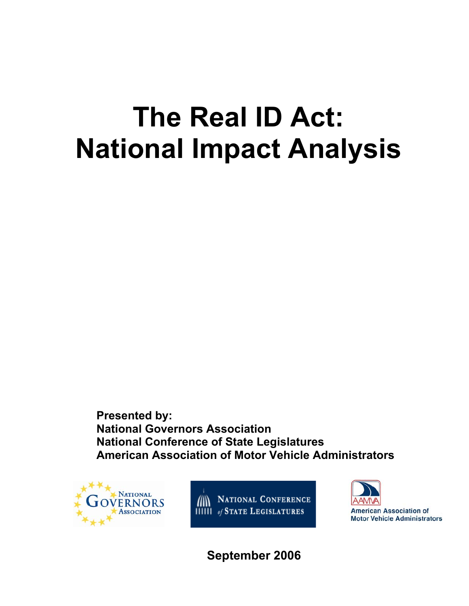# **The Real ID Act: National Impact Analysis**

**Presented by: National Governors Association National Conference of State Legislatures American Association of Motor Vehicle Administrators** 



**AN NATIONAL CONFERENCE HIIII** of STATE LEGISLATURES



**American Association of Motor Vehicle Administrators** 

**September 2006**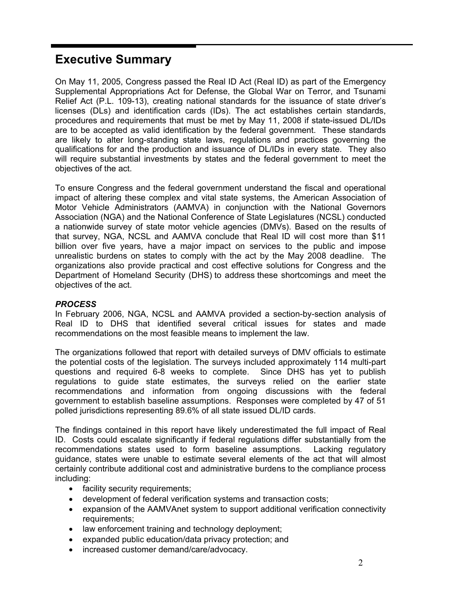# **Executive Summary**

On May 11, 2005, Congress passed the Real ID Act (Real ID) as part of the Emergency Supplemental Appropriations Act for Defense, the Global War on Terror, and Tsunami Relief Act (P.L. 109-13), creating national standards for the issuance of state driver's licenses (DLs) and identification cards (IDs). The act establishes certain standards, procedures and requirements that must be met by May 11, 2008 if state-issued DL/IDs are to be accepted as valid identification by the federal government. These standards are likely to alter long-standing state laws, regulations and practices governing the qualifications for and the production and issuance of DL/IDs in every state. They also will require substantial investments by states and the federal government to meet the objectives of the act.

To ensure Congress and the federal government understand the fiscal and operational impact of altering these complex and vital state systems, the American Association of Motor Vehicle Administrators (AAMVA) in conjunction with the National Governors Association (NGA) and the National Conference of State Legislatures (NCSL) conducted a nationwide survey of state motor vehicle agencies (DMVs). Based on the results of that survey, NGA, NCSL and AAMVA conclude that Real ID will cost more than \$11 billion over five years, have a major impact on services to the public and impose unrealistic burdens on states to comply with the act by the May 2008 deadline. The organizations also provide practical and cost effective solutions for Congress and the Department of Homeland Security (DHS) to address these shortcomings and meet the objectives of the act.

#### *PROCESS*

In February 2006, NGA, NCSL and AAMVA provided a section-by-section analysis of Real ID to DHS that identified several critical issues for states and made recommendations on the most feasible means to implement the law.

The organizations followed that report with detailed surveys of DMV officials to estimate the potential costs of the legislation. The surveys included approximately 114 multi-part questions and required 6-8 weeks to complete. Since DHS has yet to publish regulations to guide state estimates, the surveys relied on the earlier state recommendations and information from ongoing discussions with the federal government to establish baseline assumptions. Responses were completed by 47 of 51 polled jurisdictions representing 89.6% of all state issued DL/ID cards.

The findings contained in this report have likely underestimated the full impact of Real ID. Costs could escalate significantly if federal regulations differ substantially from the recommendations states used to form baseline assumptions. Lacking regulatory guidance, states were unable to estimate several elements of the act that will almost certainly contribute additional cost and administrative burdens to the compliance process including:

- facility security requirements;
- development of federal verification systems and transaction costs;
- expansion of the AAMVAnet system to support additional verification connectivity requirements;
- law enforcement training and technology deployment;
- expanded public education/data privacy protection; and
- increased customer demand/care/advocacy.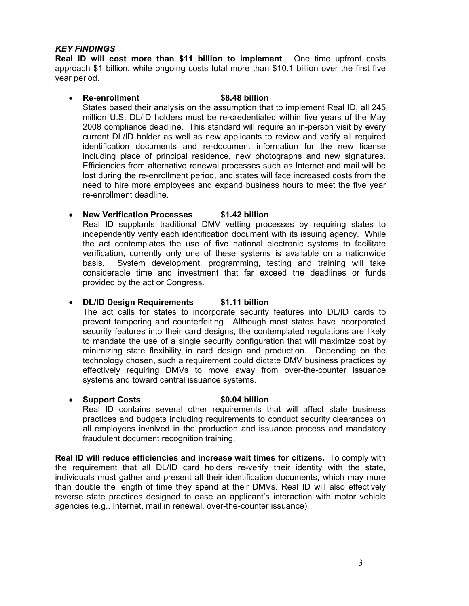#### *KEY FINDINGS*

**Real ID will cost more than \$11 billion to implement**. One time upfront costs approach \$1 billion, while ongoing costs total more than \$10.1 billion over the first five year period.

#### • **Re-enrollment \$8.48 billion**  States based their analysis on the assumption that to implement Real ID, all 245

million U.S. DL/ID holders must be re-credentialed within five years of the May 2008 compliance deadline. This standard will require an in-person visit by every current DL/ID holder as well as new applicants to review and verify all required identification documents and re-document information for the new license including place of principal residence, new photographs and new signatures. Efficiencies from alternative renewal processes such as Internet and mail will be lost during the re-enrollment period, and states will face increased costs from the need to hire more employees and expand business hours to meet the five year re-enrollment deadline.

## • **New Verification Processes \$1.42 billion**

Real ID supplants traditional DMV vetting processes by requiring states to independently verify each identification document with its issuing agency. While the act contemplates the use of five national electronic systems to facilitate verification, currently only one of these systems is available on a nationwide basis. System development, programming, testing and training will take considerable time and investment that far exceed the deadlines or funds provided by the act or Congress.

## • **DL/ID Design Requirements \$1.11 billion**

The act calls for states to incorporate security features into DL/ID cards to prevent tampering and counterfeiting. Although most states have incorporated security features into their card designs, the contemplated regulations are likely to mandate the use of a single security configuration that will maximize cost by minimizing state flexibility in card design and production. Depending on the technology chosen, such a requirement could dictate DMV business practices by effectively requiring DMVs to move away from over-the-counter issuance systems and toward central issuance systems.

• **Support Costs** \$0.04 billion Real ID contains several other requirements that will affect state business practices and budgets including requirements to conduct security clearances on all employees involved in the production and issuance process and mandatory fraudulent document recognition training.

**Real ID will reduce efficiencies and increase wait times for citizens.** To comply with the requirement that all DL/ID card holders re-verify their identity with the state, individuals must gather and present all their identification documents, which may more than double the length of time they spend at their DMVs. Real ID will also effectively reverse state practices designed to ease an applicant's interaction with motor vehicle agencies (e.g., Internet, mail in renewal, over-the-counter issuance).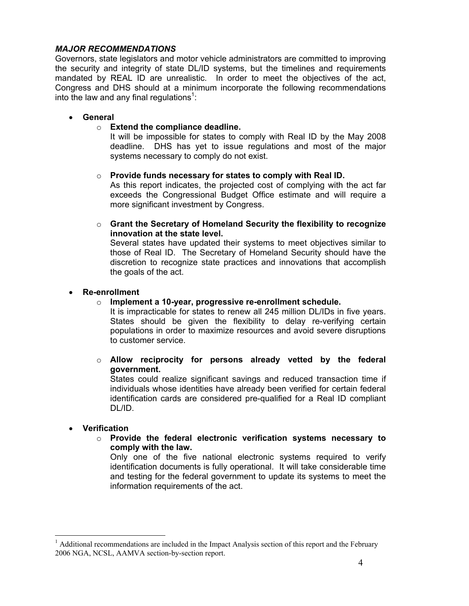#### *MAJOR RECOMMENDATIONS*

Governors, state legislators and motor vehicle administrators are committed to improving the security and integrity of state DL/ID systems, but the timelines and requirements mandated by REAL ID are unrealistic. In order to meet the objectives of the act, Congress and DHS should at a minimum incorporate the following recommendations into the law and any final regulations<sup>1</sup>:

#### • **General**

#### o **Extend the compliance deadline.**

It will be impossible for states to comply with Real ID by the May 2008 deadline. DHS has yet to issue regulations and most of the major systems necessary to comply do not exist.

#### o **Provide funds necessary for states to comply with Real ID.**

As this report indicates, the projected cost of complying with the act far exceeds the Congressional Budget Office estimate and will require a more significant investment by Congress.

o **Grant the Secretary of Homeland Security the flexibility to recognize innovation at the state level.** 

Several states have updated their systems to meet objectives similar to those of Real ID. The Secretary of Homeland Security should have the discretion to recognize state practices and innovations that accomplish the goals of the act.

#### • **Re-enrollment**

o **Implement a 10-year, progressive re-enrollment schedule.** 

It is impracticable for states to renew all 245 million DL/IDs in five years. States should be given the flexibility to delay re-verifying certain populations in order to maximize resources and avoid severe disruptions to customer service.

o **Allow reciprocity for persons already vetted by the federal government.** 

States could realize significant savings and reduced transaction time if individuals whose identities have already been verified for certain federal identification cards are considered pre-qualified for a Real ID compliant DL/ID.

#### • **Verification**

 $\overline{a}$ 

o **Provide the federal electronic verification systems necessary to comply with the law.** 

Only one of the five national electronic systems required to verify identification documents is fully operational. It will take considerable time and testing for the federal government to update its systems to meet the information requirements of the act.

 $<sup>1</sup>$  Additional recommendations are included in the Impact Analysis section of this report and the February</sup> 2006 NGA, NCSL, AAMVA section-by-section report.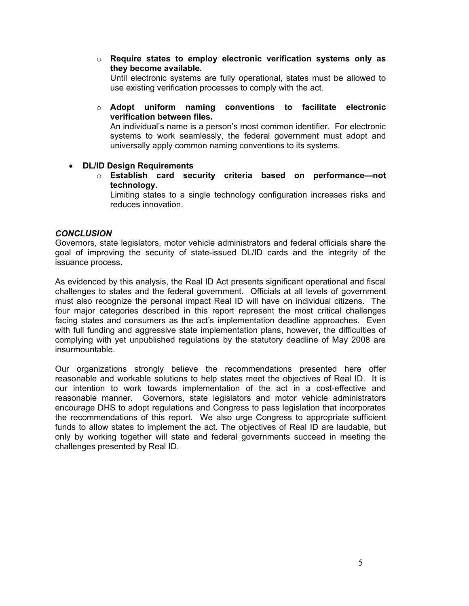o **Require states to employ electronic verification systems only as they become available.** 

Until electronic systems are fully operational, states must be allowed to use existing verification processes to comply with the act.

o **Adopt uniform naming conventions to facilitate electronic verification between files.** 

An individual's name is a person's most common identifier. For electronic systems to work seamlessly, the federal government must adopt and universally apply common naming conventions to its systems.

#### • **DL/ID Design Requirements**

o **Establish card security criteria based on performance—not technology.** 

Limiting states to a single technology configuration increases risks and reduces innovation.

#### *CONCLUSION*

Governors, state legislators, motor vehicle administrators and federal officials share the goal of improving the security of state-issued DL/ID cards and the integrity of the issuance process.

As evidenced by this analysis, the Real ID Act presents significant operational and fiscal challenges to states and the federal government. Officials at all levels of government must also recognize the personal impact Real ID will have on individual citizens. The four major categories described in this report represent the most critical challenges facing states and consumers as the act's implementation deadline approaches. Even with full funding and aggressive state implementation plans, however, the difficulties of complying with yet unpublished regulations by the statutory deadline of May 2008 are insurmountable.

Our organizations strongly believe the recommendations presented here offer reasonable and workable solutions to help states meet the objectives of Real ID. It is our intention to work towards implementation of the act in a cost-effective and reasonable manner. Governors, state legislators and motor vehicle administrators encourage DHS to adopt regulations and Congress to pass legislation that incorporates the recommendations of this report. We also urge Congress to appropriate sufficient funds to allow states to implement the act. The objectives of Real ID are laudable, but only by working together will state and federal governments succeed in meeting the challenges presented by Real ID.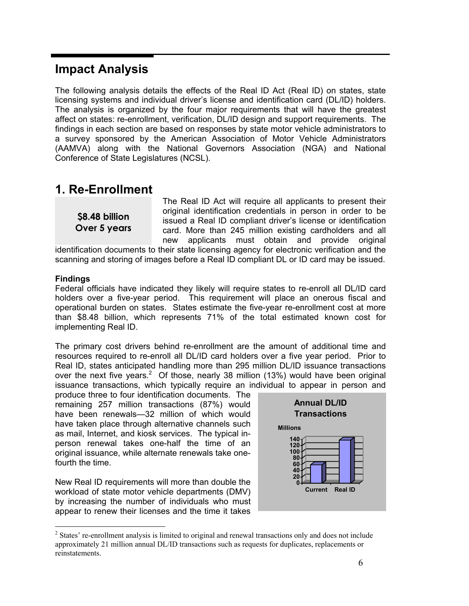# **Impact Analysis**

The following analysis details the effects of the Real ID Act (Real ID) on states, state licensing systems and individual driver's license and identification card (DL/ID) holders. The analysis is organized by the four major requirements that will have the greatest affect on states: re-enrollment, verification, DL/ID design and support requirements. The findings in each section are based on responses by state motor vehicle administrators to a survey sponsored by the American Association of Motor Vehicle Administrators (AAMVA) along with the National Governors Association (NGA) and National Conference of State Legislatures (NCSL).

# **1. Re-Enrollment**

**\$8.48 billion Over 5 years**  The Real ID Act will require all applicants to present their original identification credentials in person in order to be issued a Real ID compliant driver's license or identification card. More than 245 million existing cardholders and all new applicants must obtain and provide original

identification documents to their state licensing agency for electronic verification and the scanning and storing of images before a Real ID compliant DL or ID card may be issued.

#### **Findings**

Federal officials have indicated they likely will require states to re-enroll all DL/ID card holders over a five-year period. This requirement will place an onerous fiscal and operational burden on states. States estimate the five-year re-enrollment cost at more than \$8.48 billion, which represents 71% of the total estimated known cost for implementing Real ID.

The primary cost drivers behind re-enrollment are the amount of additional time and resources required to re-enroll all DL/ID card holders over a five year period. Prior to Real ID, states anticipated handling more than 295 million DL/ID issuance transactions over the next five years.<sup>2</sup> Of those, nearly 38 million (13%) would have been original issuance transactions, which typically require an individual to appear in person and

produce three to four identification documents. The remaining 257 million transactions (87%) would have been renewals—32 million of which would have taken place through alternative channels such as mail, Internet, and kiosk services. The typical inperson renewal takes one-half the time of an original issuance, while alternate renewals take onefourth the time.

New Real ID requirements will more than double the workload of state motor vehicle departments (DMV) by increasing the number of individuals who must appear to renew their licenses and the time it takes



 $\overline{a}$ <sup>2</sup> States' re-enrollment analysis is limited to original and renewal transactions only and does not include approximately 21 million annual DL/ID transactions such as requests for duplicates, replacements or reinstatements.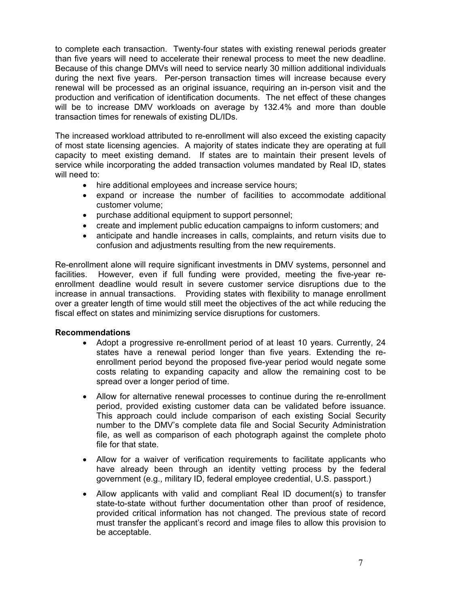to complete each transaction. Twenty-four states with existing renewal periods greater than five years will need to accelerate their renewal process to meet the new deadline. Because of this change DMVs will need to service nearly 30 million additional individuals during the next five years. Per-person transaction times will increase because every renewal will be processed as an original issuance, requiring an in-person visit and the production and verification of identification documents. The net effect of these changes will be to increase DMV workloads on average by 132.4% and more than double transaction times for renewals of existing DL/IDs.

The increased workload attributed to re-enrollment will also exceed the existing capacity of most state licensing agencies. A majority of states indicate they are operating at full capacity to meet existing demand. If states are to maintain their present levels of service while incorporating the added transaction volumes mandated by Real ID, states will need to:

- hire additional employees and increase service hours;
- expand or increase the number of facilities to accommodate additional customer volume;
- purchase additional equipment to support personnel;
- create and implement public education campaigns to inform customers; and
- anticipate and handle increases in calls, complaints, and return visits due to confusion and adjustments resulting from the new requirements.

Re-enrollment alone will require significant investments in DMV systems, personnel and facilities. However, even if full funding were provided, meeting the five-year reenrollment deadline would result in severe customer service disruptions due to the increase in annual transactions. Providing states with flexibility to manage enrollment over a greater length of time would still meet the objectives of the act while reducing the fiscal effect on states and minimizing service disruptions for customers.

#### **Recommendations**

- Adopt a progressive re-enrollment period of at least 10 years. Currently, 24 states have a renewal period longer than five years. Extending the reenrollment period beyond the proposed five-year period would negate some costs relating to expanding capacity and allow the remaining cost to be spread over a longer period of time.
- Allow for alternative renewal processes to continue during the re-enrollment period, provided existing customer data can be validated before issuance. This approach could include comparison of each existing Social Security number to the DMV's complete data file and Social Security Administration file, as well as comparison of each photograph against the complete photo file for that state.
- Allow for a waiver of verification requirements to facilitate applicants who have already been through an identity vetting process by the federal government (e.g., military ID, federal employee credential, U.S. passport.)
- Allow applicants with valid and compliant Real ID document(s) to transfer state-to-state without further documentation other than proof of residence, provided critical information has not changed. The previous state of record must transfer the applicant's record and image files to allow this provision to be acceptable.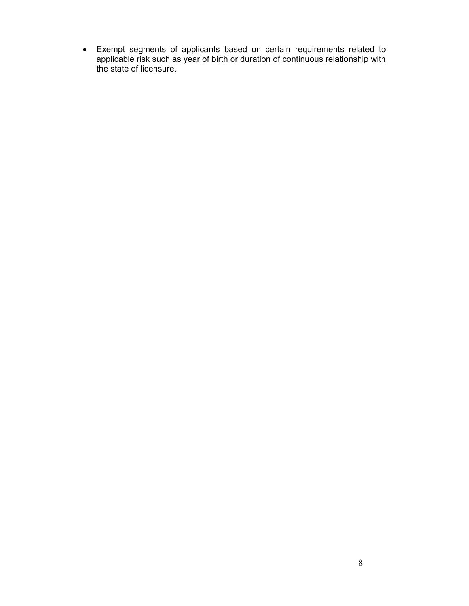• Exempt segments of applicants based on certain requirements related to applicable risk such as year of birth or duration of continuous relationship with the state of licensure.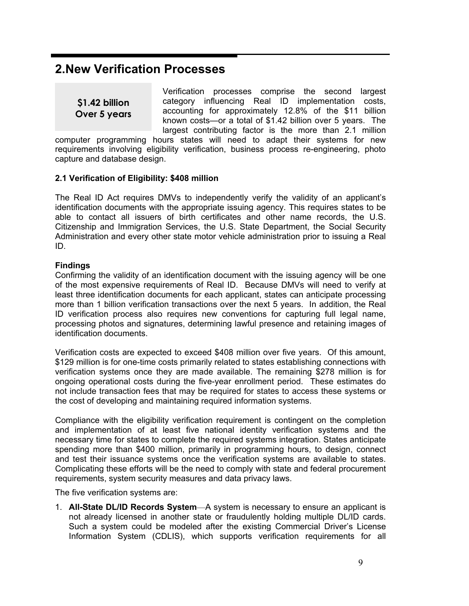# **2.New Verification Processes**

**\$1.42 billion Over 5 years** 

Verification processes comprise the second largest category influencing Real ID implementation costs, accounting for approximately 12.8% of the \$11 billion known costs—or a total of \$1.42 billion over 5 years. The largest contributing factor is the more than 2.1 million

computer programming hours states will need to adapt their systems for new requirements involving eligibility verification, business process re-engineering, photo capture and database design.

#### **2.1 Verification of Eligibility: \$408 million**

The Real ID Act requires DMVs to independently verify the validity of an applicant's identification documents with the appropriate issuing agency. This requires states to be able to contact all issuers of birth certificates and other name records, the U.S. Citizenship and Immigration Services, the U.S. State Department, the Social Security Administration and every other state motor vehicle administration prior to issuing a Real ID.

#### **Findings**

Confirming the validity of an identification document with the issuing agency will be one of the most expensive requirements of Real ID. Because DMVs will need to verify at least three identification documents for each applicant, states can anticipate processing more than 1 billion verification transactions over the next 5 years. In addition, the Real ID verification process also requires new conventions for capturing full legal name, processing photos and signatures, determining lawful presence and retaining images of identification documents.

Verification costs are expected to exceed \$408 million over five years. Of this amount, \$129 million is for one-time costs primarily related to states establishing connections with verification systems once they are made available. The remaining \$278 million is for ongoing operational costs during the five-year enrollment period. These estimates do not include transaction fees that may be required for states to access these systems or the cost of developing and maintaining required information systems.

Compliance with the eligibility verification requirement is contingent on the completion and implementation of at least five national identity verification systems and the necessary time for states to complete the required systems integration. States anticipate spending more than \$400 million, primarily in programming hours, to design, connect and test their issuance systems once the verification systems are available to states. Complicating these efforts will be the need to comply with state and federal procurement requirements, system security measures and data privacy laws.

The five verification systems are:

1. **All-State DL/ID Records System**—A system is necessary to ensure an applicant is not already licensed in another state or fraudulently holding multiple DL/ID cards. Such a system could be modeled after the existing Commercial Driver's License Information System (CDLIS), which supports verification requirements for all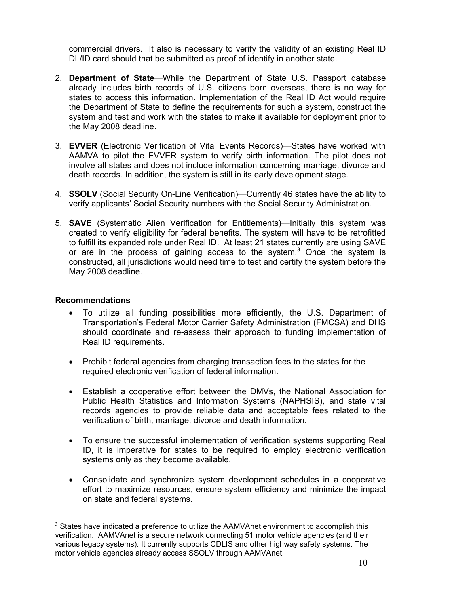commercial drivers. It also is necessary to verify the validity of an existing Real ID DL/ID card should that be submitted as proof of identify in another state.

- 2. **Department of State**—While the Department of State U.S. Passport database already includes birth records of U.S. citizens born overseas, there is no way for states to access this information. Implementation of the Real ID Act would require the Department of State to define the requirements for such a system, construct the system and test and work with the states to make it available for deployment prior to the May 2008 deadline.
- 3. **EVVER** (Electronic Verification of Vital Events Records)—States have worked with AAMVA to pilot the EVVER system to verify birth information. The pilot does not involve all states and does not include information concerning marriage, divorce and death records. In addition, the system is still in its early development stage.
- 4. **SSOLV** (Social Security On-Line Verification)—Currently 46 states have the ability to verify applicants' Social Security numbers with the Social Security Administration.
- 5. **SAVE** (Systematic Alien Verification for Entitlements)—Initially this system was created to verify eligibility for federal benefits. The system will have to be retrofitted to fulfill its expanded role under Real ID. At least 21 states currently are using SAVE or are in the process of gaining access to the system.<sup>3</sup> Once the system is constructed, all jurisdictions would need time to test and certify the system before the May 2008 deadline.

#### **Recommendations**

- To utilize all funding possibilities more efficiently, the U.S. Department of Transportation's Federal Motor Carrier Safety Administration (FMCSA) and DHS should coordinate and re-assess their approach to funding implementation of Real ID requirements.
- Prohibit federal agencies from charging transaction fees to the states for the required electronic verification of federal information.
- Establish a cooperative effort between the DMVs, the National Association for Public Health Statistics and Information Systems (NAPHSIS), and state vital records agencies to provide reliable data and acceptable fees related to the verification of birth, marriage, divorce and death information.
- To ensure the successful implementation of verification systems supporting Real ID, it is imperative for states to be required to employ electronic verification systems only as they become available.
- Consolidate and synchronize system development schedules in a cooperative effort to maximize resources, ensure system efficiency and minimize the impact on state and federal systems.

 $\overline{a}$  $3$  States have indicated a preference to utilize the AAMVAnet environment to accomplish this verification. AAMVAnet is a secure network connecting 51 motor vehicle agencies (and their various legacy systems). It currently supports CDLIS and other highway safety systems. The motor vehicle agencies already access SSOLV through AAMVAnet.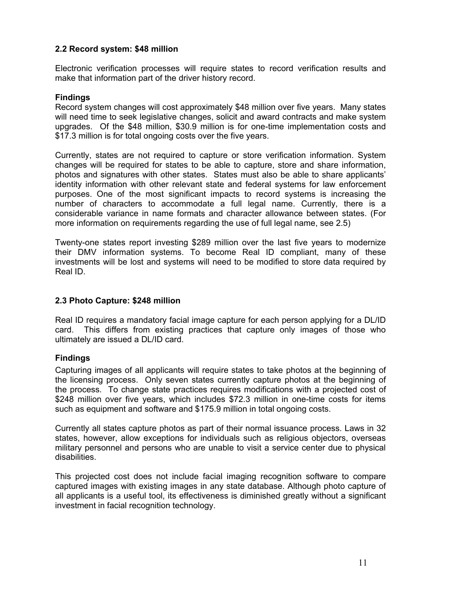#### **2.2 Record system: \$48 million**

Electronic verification processes will require states to record verification results and make that information part of the driver history record.

#### **Findings**

Record system changes will cost approximately \$48 million over five years. Many states will need time to seek legislative changes, solicit and award contracts and make system upgrades. Of the \$48 million, \$30.9 million is for one-time implementation costs and \$17.3 million is for total ongoing costs over the five years.

Currently, states are not required to capture or store verification information. System changes will be required for states to be able to capture, store and share information, photos and signatures with other states. States must also be able to share applicants' identity information with other relevant state and federal systems for law enforcement purposes. One of the most significant impacts to record systems is increasing the number of characters to accommodate a full legal name. Currently, there is a considerable variance in name formats and character allowance between states. (For more information on requirements regarding the use of full legal name, see 2.5)

Twenty-one states report investing \$289 million over the last five years to modernize their DMV information systems. To become Real ID compliant, many of these investments will be lost and systems will need to be modified to store data required by Real ID.

#### **2.3 Photo Capture: \$248 million**

Real ID requires a mandatory facial image capture for each person applying for a DL/ID card. This differs from existing practices that capture only images of those who ultimately are issued a DL/ID card.

#### **Findings**

Capturing images of all applicants will require states to take photos at the beginning of the licensing process. Only seven states currently capture photos at the beginning of the process. To change state practices requires modifications with a projected cost of \$248 million over five years, which includes \$72.3 million in one-time costs for items such as equipment and software and \$175.9 million in total ongoing costs.

Currently all states capture photos as part of their normal issuance process. Laws in 32 states, however, allow exceptions for individuals such as religious objectors, overseas military personnel and persons who are unable to visit a service center due to physical disabilities.

This projected cost does not include facial imaging recognition software to compare captured images with existing images in any state database. Although photo capture of all applicants is a useful tool, its effectiveness is diminished greatly without a significant investment in facial recognition technology.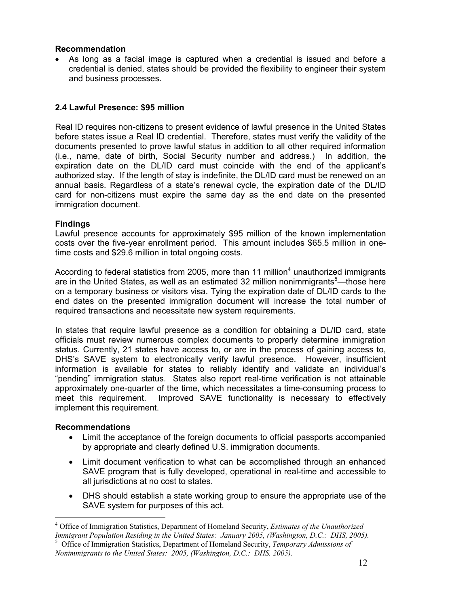#### **Recommendation**

As long as a facial image is captured when a credential is issued and before a credential is denied, states should be provided the flexibility to engineer their system and business processes.

#### **2.4 Lawful Presence: \$95 million**

Real ID requires non-citizens to present evidence of lawful presence in the United States before states issue a Real ID credential. Therefore, states must verify the validity of the documents presented to prove lawful status in addition to all other required information (i.e., name, date of birth, Social Security number and address.) In addition, the expiration date on the DL/ID card must coincide with the end of the applicant's authorized stay. If the length of stay is indefinite, the DL/ID card must be renewed on an annual basis. Regardless of a state's renewal cycle, the expiration date of the DL/ID card for non-citizens must expire the same day as the end date on the presented immigration document.

#### **Findings**

Lawful presence accounts for approximately \$95 million of the known implementation costs over the five-year enrollment period. This amount includes \$65.5 million in onetime costs and \$29.6 million in total ongoing costs.

According to federal statistics from 2005, more than 11 million<sup>4</sup> unauthorized immigrants are in the United States, as well as an estimated 32 million nonimmigrants<sup>5</sup>—those here on a temporary business or visitors visa. Tying the expiration date of DL/ID cards to the end dates on the presented immigration document will increase the total number of required transactions and necessitate new system requirements.

In states that require lawful presence as a condition for obtaining a DL/ID card, state officials must review numerous complex documents to properly determine immigration status. Currently, 21 states have access to, or are in the process of gaining access to, DHS's SAVE system to electronically verify lawful presence. However, insufficient information is available for states to reliably identify and validate an individual's "pending" immigration status. States also report real-time verification is not attainable approximately one-quarter of the time, which necessitates a time-consuming process to meet this requirement. Improved SAVE functionality is necessary to effectively implement this requirement.

#### **Recommendations**

- Limit the acceptance of the foreign documents to official passports accompanied by appropriate and clearly defined U.S. immigration documents.
- Limit document verification to what can be accomplished through an enhanced SAVE program that is fully developed, operational in real-time and accessible to all jurisdictions at no cost to states.
- DHS should establish a state working group to ensure the appropriate use of the SAVE system for purposes of this act.

 $\overline{a}$ 4 Office of Immigration Statistics, Department of Homeland Security, *Estimates of the Unauthorized Immigrant Population Residing in the United States: January 2005, (Washington, D.C.: DHS, 2005).* 

<sup>5</sup> Office of Immigration Statistics, Department of Homeland Security, *Temporary Admissions of Nonimmigrants to the United States: 2005, (Washington, D.C.: DHS, 2005).*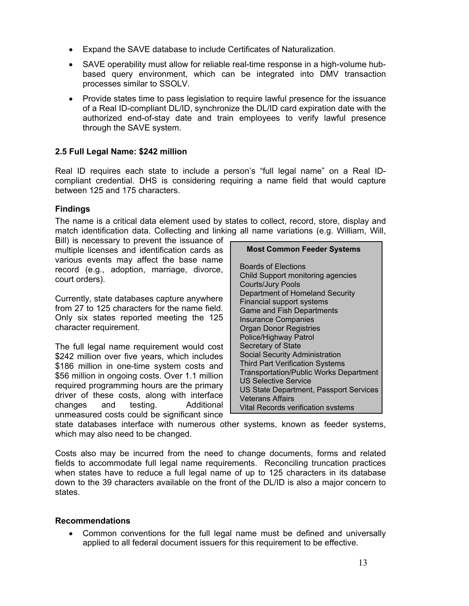- Expand the SAVE database to include Certificates of Naturalization.
- SAVE operability must allow for reliable real-time response in a high-volume hubbased query environment, which can be integrated into DMV transaction processes similar to SSOLV.
- Provide states time to pass legislation to require lawful presence for the issuance of a Real ID-compliant DL/ID, synchronize the DL/ID card expiration date with the authorized end-of-stay date and train employees to verify lawful presence through the SAVE system.

## **2.5 Full Legal Name: \$242 million**

Real ID requires each state to include a person's "full legal name" on a Real IDcompliant credential. DHS is considering requiring a name field that would capture between 125 and 175 characters.

## **Findings**

The name is a critical data element used by states to collect, record, store, display and match identification data. Collecting and linking all name variations (e.g. William, Will,

Bill) is necessary to prevent the issuance of multiple licenses and identification cards as various events may affect the base name record (e.g., adoption, marriage, divorce, court orders).

Currently, state databases capture anywhere from 27 to 125 characters for the name field. Only six states reported meeting the 125 character requirement.

The full legal name requirement would cost \$242 million over five years, which includes \$186 million in one-time system costs and \$56 million in ongoing costs. Over 1.1 million required programming hours are the primary driver of these costs, along with interface changes and testing. Additional unmeasured costs could be significant since

#### **Most Common Feeder Systems**

Boards of Elections Child Support monitoring agencies Courts/Jury Pools Department of Homeland Security Financial support systems Game and Fish Departments Insurance Companies Organ Donor Registries Police/Highway Patrol Secretary of State Social Security Administration Third Part Verification Systems Transportation/Public Works Department US Selective Service US State Department, Passport Services Veterans Affairs Vital Records verification systems

state databases interface with numerous other systems, known as feeder systems, which may also need to be changed.

Costs also may be incurred from the need to change documents, forms and related fields to accommodate full legal name requirements. Reconciling truncation practices when states have to reduce a full legal name of up to 125 characters in its database down to the 39 characters available on the front of the DL/ID is also a major concern to states.

#### **Recommendations**

• Common conventions for the full legal name must be defined and universally applied to all federal document issuers for this requirement to be effective.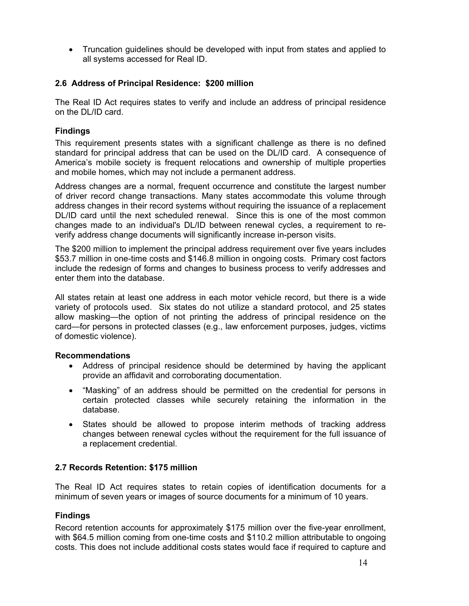• Truncation guidelines should be developed with input from states and applied to all systems accessed for Real ID.

#### **2.6 Address of Principal Residence: \$200 million**

The Real ID Act requires states to verify and include an address of principal residence on the DL/ID card.

## **Findings**

This requirement presents states with a significant challenge as there is no defined standard for principal address that can be used on the DL/ID card. A consequence of America's mobile society is frequent relocations and ownership of multiple properties and mobile homes, which may not include a permanent address.

Address changes are a normal, frequent occurrence and constitute the largest number of driver record change transactions. Many states accommodate this volume through address changes in their record systems without requiring the issuance of a replacement DL/ID card until the next scheduled renewal. Since this is one of the most common changes made to an individual's DL/ID between renewal cycles, a requirement to reverify address change documents will significantly increase in-person visits.

The \$200 million to implement the principal address requirement over five years includes \$53.7 million in one-time costs and \$146.8 million in ongoing costs. Primary cost factors include the redesign of forms and changes to business process to verify addresses and enter them into the database.

All states retain at least one address in each motor vehicle record, but there is a wide variety of protocols used. Six states do not utilize a standard protocol, and 25 states allow masking—the option of not printing the address of principal residence on the card—for persons in protected classes (e.g., law enforcement purposes, judges, victims of domestic violence).

#### **Recommendations**

- Address of principal residence should be determined by having the applicant provide an affidavit and corroborating documentation.
- "Masking" of an address should be permitted on the credential for persons in certain protected classes while securely retaining the information in the database.
- States should be allowed to propose interim methods of tracking address changes between renewal cycles without the requirement for the full issuance of a replacement credential.

#### **2.7 Records Retention: \$175 million**

The Real ID Act requires states to retain copies of identification documents for a minimum of seven years or images of source documents for a minimum of 10 years.

#### **Findings**

Record retention accounts for approximately \$175 million over the five-year enrollment, with \$64.5 million coming from one-time costs and \$110.2 million attributable to ongoing costs. This does not include additional costs states would face if required to capture and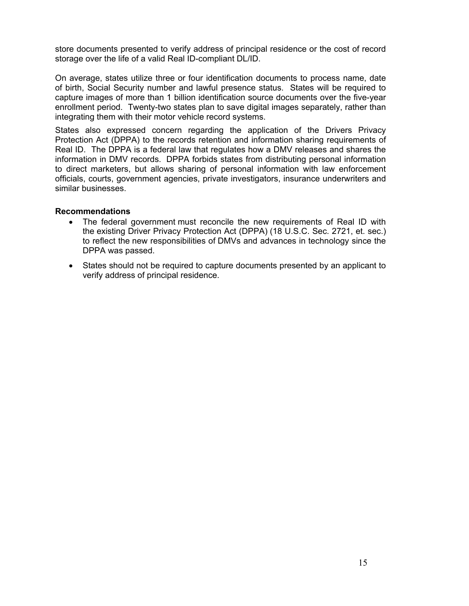store documents presented to verify address of principal residence or the cost of record storage over the life of a valid Real ID-compliant DL/ID.

On average, states utilize three or four identification documents to process name, date of birth, Social Security number and lawful presence status. States will be required to capture images of more than 1 billion identification source documents over the five-year enrollment period. Twenty-two states plan to save digital images separately, rather than integrating them with their motor vehicle record systems.

States also expressed concern regarding the application of the Drivers Privacy Protection Act (DPPA) to the records retention and information sharing requirements of Real ID. The DPPA is a federal law that regulates how a DMV releases and shares the information in DMV records. DPPA forbids states from distributing personal information to direct marketers, but allows sharing of personal information with law enforcement officials, courts, government agencies, private investigators, insurance underwriters and similar businesses.

#### **Recommendations**

- The federal government must reconcile the new requirements of Real ID with the existing Driver Privacy Protection Act (DPPA) (18 U.S.C. Sec. 2721, et. sec.) to reflect the new responsibilities of DMVs and advances in technology since the DPPA was passed.
- States should not be required to capture documents presented by an applicant to verify address of principal residence.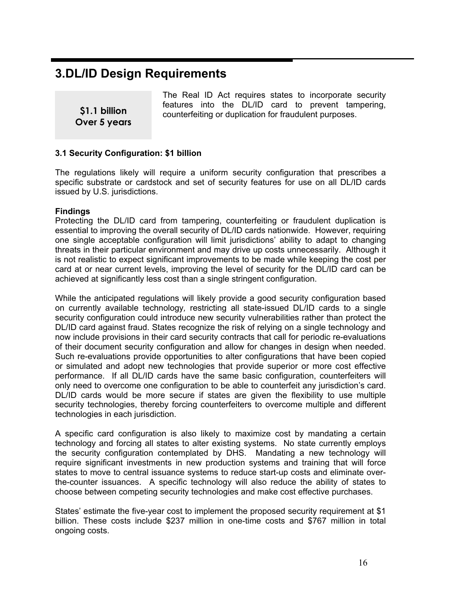# **3.DL/ID Design Requirements**

**\$1.1 billion Over 5 years**  The Real ID Act requires states to incorporate security features into the DL/ID card to prevent tampering, counterfeiting or duplication for fraudulent purposes.

#### **3.1 Security Configuration: \$1 billion**

The regulations likely will require a uniform security configuration that prescribes a specific substrate or cardstock and set of security features for use on all DL/ID cards issued by U.S. jurisdictions.

#### **Findings**

Protecting the DL/ID card from tampering, counterfeiting or fraudulent duplication is essential to improving the overall security of DL/ID cards nationwide. However, requiring one single acceptable configuration will limit jurisdictions' ability to adapt to changing threats in their particular environment and may drive up costs unnecessarily. Although it is not realistic to expect significant improvements to be made while keeping the cost per card at or near current levels, improving the level of security for the DL/ID card can be achieved at significantly less cost than a single stringent configuration.

While the anticipated regulations will likely provide a good security configuration based on currently available technology*,* restricting all state-issued DL/ID cards to a single security configuration could introduce new security vulnerabilities rather than protect the DL/ID card against fraud. States recognize the risk of relying on a single technology and now include provisions in their card security contracts that call for periodic re-evaluations of their document security configuration and allow for changes in design when needed. Such re-evaluations provide opportunities to alter configurations that have been copied or simulated and adopt new technologies that provide superior or more cost effective performance. If all DL/ID cards have the same basic configuration, counterfeiters will only need to overcome one configuration to be able to counterfeit any jurisdiction's card. DL/ID cards would be more secure if states are given the flexibility to use multiple security technologies, thereby forcing counterfeiters to overcome multiple and different technologies in each jurisdiction.

A specific card configuration is also likely to maximize cost by mandating a certain technology and forcing all states to alter existing systems. No state currently employs the security configuration contemplated by DHS. Mandating a new technology will require significant investments in new production systems and training that will force states to move to central issuance systems to reduce start-up costs and eliminate overthe-counter issuances. A specific technology will also reduce the ability of states to choose between competing security technologies and make cost effective purchases.

States' estimate the five-year cost to implement the proposed security requirement at \$1 billion. These costs include \$237 million in one-time costs and \$767 million in total ongoing costs.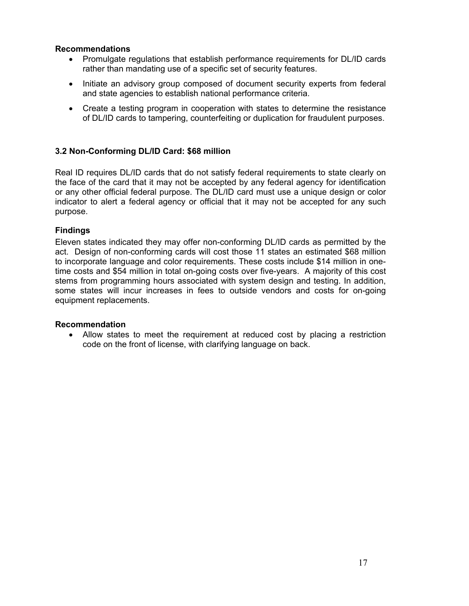#### **Recommendations**

- Promulgate regulations that establish performance requirements for DL/ID cards rather than mandating use of a specific set of security features.
- Initiate an advisory group composed of document security experts from federal and state agencies to establish national performance criteria.
- Create a testing program in cooperation with states to determine the resistance of DL/ID cards to tampering, counterfeiting or duplication for fraudulent purposes.

## **3.2 Non-Conforming DL/ID Card: \$68 million**

Real ID requires DL/ID cards that do not satisfy federal requirements to state clearly on the face of the card that it may not be accepted by any federal agency for identification or any other official federal purpose. The DL/ID card must use a unique design or color indicator to alert a federal agency or official that it may not be accepted for any such purpose.

#### **Findings**

Eleven states indicated they may offer non-conforming DL/ID cards as permitted by the act. Design of non-conforming cards will cost those 11 states an estimated \$68 million to incorporate language and color requirements. These costs include \$14 million in onetime costs and \$54 million in total on-going costs over five-years. A majority of this cost stems from programming hours associated with system design and testing. In addition, some states will incur increases in fees to outside vendors and costs for on-going equipment replacements.

#### **Recommendation**

• Allow states to meet the requirement at reduced cost by placing a restriction code on the front of license, with clarifying language on back.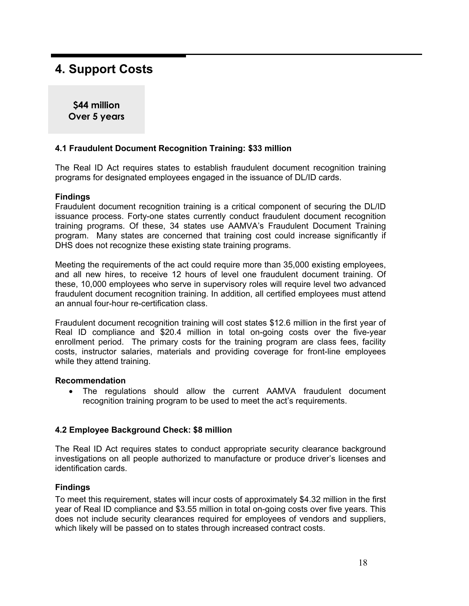# **4. Support Costs**

**\$44 million Over 5 years** 

#### **4.1 Fraudulent Document Recognition Training: \$33 million**

The Real ID Act requires states to establish fraudulent document recognition training programs for designated employees engaged in the issuance of DL/ID cards.

#### **Findings**

Fraudulent document recognition training is a critical component of securing the DL/ID issuance process. Forty-one states currently conduct fraudulent document recognition training programs. Of these, 34 states use AAMVA's Fraudulent Document Training program. Many states are concerned that training cost could increase significantly if DHS does not recognize these existing state training programs.

Meeting the requirements of the act could require more than 35,000 existing employees, and all new hires, to receive 12 hours of level one fraudulent document training. Of these, 10,000 employees who serve in supervisory roles will require level two advanced fraudulent document recognition training. In addition, all certified employees must attend an annual four-hour re-certification class.

Fraudulent document recognition training will cost states \$12.6 million in the first year of Real ID compliance and \$20.4 million in total on-going costs over the five-year enrollment period. The primary costs for the training program are class fees, facility costs, instructor salaries, materials and providing coverage for front-line employees while they attend training.

#### **Recommendation**

• The regulations should allow the current AAMVA fraudulent document recognition training program to be used to meet the act's requirements.

#### **4.2 Employee Background Check: \$8 million**

The Real ID Act requires states to conduct appropriate security clearance background investigations on all people authorized to manufacture or produce driver's licenses and identification cards.

#### **Findings**

To meet this requirement, states will incur costs of approximately \$4.32 million in the first year of Real ID compliance and \$3.55 million in total on-going costs over five years. This does not include security clearances required for employees of vendors and suppliers, which likely will be passed on to states through increased contract costs.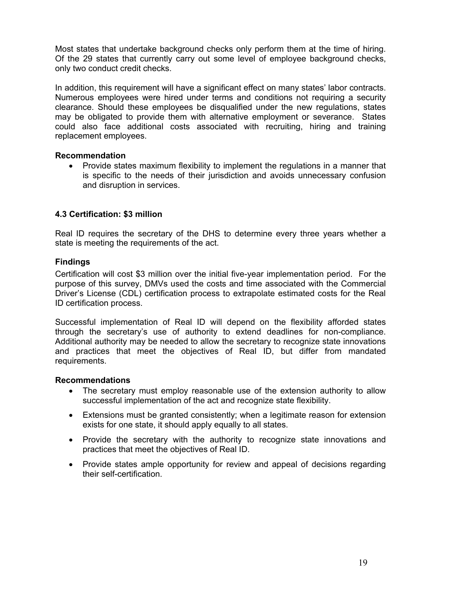Most states that undertake background checks only perform them at the time of hiring. Of the 29 states that currently carry out some level of employee background checks, only two conduct credit checks.

In addition, this requirement will have a significant effect on many states' labor contracts. Numerous employees were hired under terms and conditions not requiring a security clearance. Should these employees be disqualified under the new regulations, states may be obligated to provide them with alternative employment or severance. States could also face additional costs associated with recruiting, hiring and training replacement employees.

#### **Recommendation**

• Provide states maximum flexibility to implement the regulations in a manner that is specific to the needs of their jurisdiction and avoids unnecessary confusion and disruption in services.

#### **4.3 Certification: \$3 million**

Real ID requires the secretary of the DHS to determine every three years whether a state is meeting the requirements of the act.

#### **Findings**

Certification will cost \$3 million over the initial five-year implementation period. For the purpose of this survey, DMVs used the costs and time associated with the Commercial Driver's License (CDL) certification process to extrapolate estimated costs for the Real ID certification process.

Successful implementation of Real ID will depend on the flexibility afforded states through the secretary's use of authority to extend deadlines for non-compliance. Additional authority may be needed to allow the secretary to recognize state innovations and practices that meet the objectives of Real ID, but differ from mandated requirements.

#### **Recommendations**

- The secretary must employ reasonable use of the extension authority to allow successful implementation of the act and recognize state flexibility.
- Extensions must be granted consistently; when a legitimate reason for extension exists for one state, it should apply equally to all states.
- Provide the secretary with the authority to recognize state innovations and practices that meet the objectives of Real ID.
- Provide states ample opportunity for review and appeal of decisions regarding their self-certification.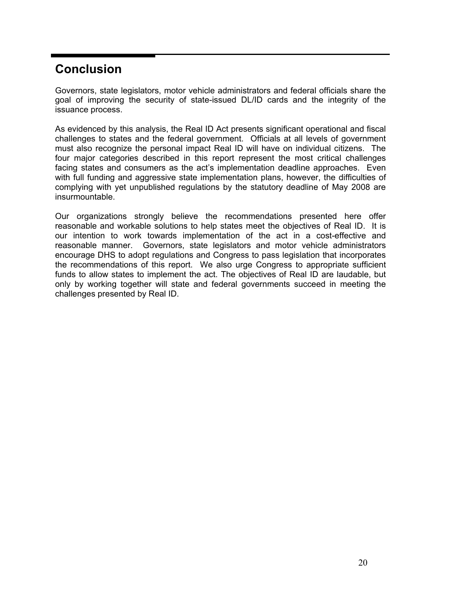# **Conclusion**

Governors, state legislators, motor vehicle administrators and federal officials share the goal of improving the security of state-issued DL/ID cards and the integrity of the issuance process.

As evidenced by this analysis, the Real ID Act presents significant operational and fiscal challenges to states and the federal government. Officials at all levels of government must also recognize the personal impact Real ID will have on individual citizens. The four major categories described in this report represent the most critical challenges facing states and consumers as the act's implementation deadline approaches. Even with full funding and aggressive state implementation plans, however, the difficulties of complying with yet unpublished regulations by the statutory deadline of May 2008 are insurmountable.

Our organizations strongly believe the recommendations presented here offer reasonable and workable solutions to help states meet the objectives of Real ID. It is our intention to work towards implementation of the act in a cost-effective and reasonable manner. Governors, state legislators and motor vehicle administrators encourage DHS to adopt regulations and Congress to pass legislation that incorporates the recommendations of this report. We also urge Congress to appropriate sufficient funds to allow states to implement the act. The objectives of Real ID are laudable, but only by working together will state and federal governments succeed in meeting the challenges presented by Real ID.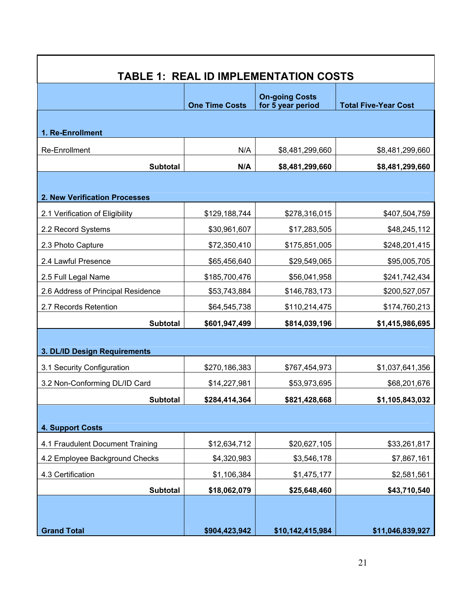| <b>TABLE 1: REAL ID IMPLEMENTATION COSTS</b> |                       |                                            |                             |  |  |  |
|----------------------------------------------|-----------------------|--------------------------------------------|-----------------------------|--|--|--|
|                                              | <b>One Time Costs</b> | <b>On-going Costs</b><br>for 5 year period | <b>Total Five-Year Cost</b> |  |  |  |
| 1. Re-Enrollment                             |                       |                                            |                             |  |  |  |
| Re-Enrollment                                | N/A                   | \$8,481,299,660                            | \$8,481,299,660             |  |  |  |
| <b>Subtotal</b>                              | N/A                   | \$8,481,299,660                            | \$8,481,299,660             |  |  |  |
|                                              |                       |                                            |                             |  |  |  |
| 2. New Verification Processes                |                       |                                            |                             |  |  |  |
| 2.1 Verification of Eligibility              | \$129,188,744         | \$278,316,015                              | \$407,504,759               |  |  |  |
| 2.2 Record Systems                           | \$30,961,607          | \$17,283,505                               | \$48,245,112                |  |  |  |
| 2.3 Photo Capture                            | \$72,350,410          | \$175,851,005                              | \$248,201,415               |  |  |  |
| 2.4 Lawful Presence                          | \$65,456,640          | \$29,549,065                               | \$95,005,705                |  |  |  |
| 2.5 Full Legal Name                          | \$185,700,476         | \$56,041,958                               | \$241,742,434               |  |  |  |
| 2.6 Address of Principal Residence           | \$53,743,884          | \$146,783,173                              | \$200,527,057               |  |  |  |
| 2.7 Records Retention                        | \$64,545,738          | \$110,214,475                              | \$174,760,213               |  |  |  |
| <b>Subtotal</b>                              | \$601,947,499         | \$814,039,196                              | \$1,415,986,695             |  |  |  |
| 3. DL/ID Design Requirements                 |                       |                                            |                             |  |  |  |
| 3.1 Security Configuration                   | \$270,186,383         | \$767,454,973                              | \$1,037,641,356             |  |  |  |
| 3.2 Non-Conforming DL/ID Card                | \$14,227,981          | \$53,973,695                               | \$68,201,676                |  |  |  |
| <b>Subtotal</b>                              | \$284,414,364         | \$821,428,668                              | \$1,105,843,032             |  |  |  |
| <b>4. Support Costs</b>                      |                       |                                            |                             |  |  |  |
| 4.1 Fraudulent Document Training             | \$12,634,712          | \$20,627,105                               | \$33,261,817                |  |  |  |
| 4.2 Employee Background Checks               | \$4,320,983           | \$3,546,178                                | \$7,867,161                 |  |  |  |
| 4.3 Certification                            | \$1,106,384           | \$1,475,177                                | \$2,581,561                 |  |  |  |
| <b>Subtotal</b>                              | \$18,062,079          | \$25,648,460                               | \$43,710,540                |  |  |  |
| <b>Grand Total</b>                           | \$904,423,942         | \$10,142,415,984                           | \$11,046,839,927            |  |  |  |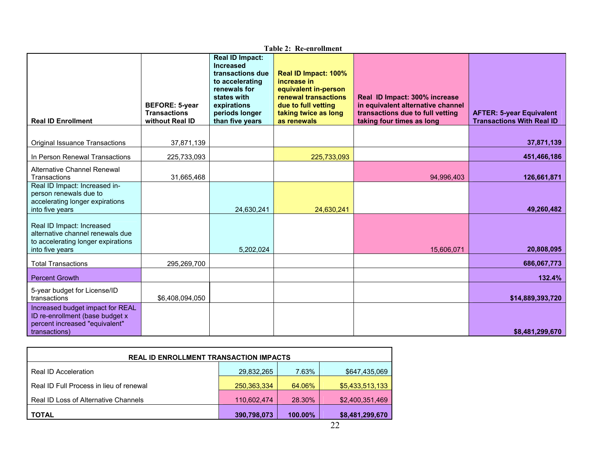|                                                                                                                        |                                                                 |                                                                                                                                                                      | <b>Table 2: Re-enrollment</b>                                                                                                                     |                                                                                                                                     |                                                                     |
|------------------------------------------------------------------------------------------------------------------------|-----------------------------------------------------------------|----------------------------------------------------------------------------------------------------------------------------------------------------------------------|---------------------------------------------------------------------------------------------------------------------------------------------------|-------------------------------------------------------------------------------------------------------------------------------------|---------------------------------------------------------------------|
| <b>Real ID Enrollment</b>                                                                                              | <b>BEFORE: 5-year</b><br><b>Transactions</b><br>without Real ID | <b>Real ID Impact:</b><br><b>Increased</b><br>transactions due<br>to accelerating<br>renewals for<br>states with<br>expirations<br>periods longer<br>than five years | Real ID Impact: 100%<br>increase in<br>equivalent in-person<br>renewal transactions<br>due to full vetting<br>taking twice as long<br>as renewals | Real ID Impact: 300% increase<br>in equivalent alternative channel<br>transactions due to full vetting<br>taking four times as long | <b>AFTER: 5-year Equivalent</b><br><b>Transactions With Real ID</b> |
|                                                                                                                        |                                                                 |                                                                                                                                                                      |                                                                                                                                                   |                                                                                                                                     |                                                                     |
| <b>Original Issuance Transactions</b>                                                                                  | 37,871,139                                                      |                                                                                                                                                                      |                                                                                                                                                   |                                                                                                                                     | 37,871,139                                                          |
| In Person Renewal Transactions                                                                                         | 225,733,093                                                     |                                                                                                                                                                      | 225,733,093                                                                                                                                       |                                                                                                                                     | 451,466,186                                                         |
| Alternative Channel Renewal<br>Transactions                                                                            | 31,665,468                                                      |                                                                                                                                                                      |                                                                                                                                                   | 94,996,403                                                                                                                          | 126,661,871                                                         |
| Real ID Impact: Increased in-<br>person renewals due to<br>accelerating longer expirations<br>into five years          |                                                                 | 24,630,241                                                                                                                                                           | 24,630,241                                                                                                                                        |                                                                                                                                     | 49,260,482                                                          |
| Real ID Impact: Increased<br>alternative channel renewals due<br>to accelerating longer expirations<br>into five years |                                                                 | 5.202.024                                                                                                                                                            |                                                                                                                                                   | 15.606.071                                                                                                                          | 20,808,095                                                          |
| <b>Total Transactions</b>                                                                                              | 295,269,700                                                     |                                                                                                                                                                      |                                                                                                                                                   |                                                                                                                                     | 686,067,773                                                         |
| <b>Percent Growth</b>                                                                                                  |                                                                 |                                                                                                                                                                      |                                                                                                                                                   |                                                                                                                                     | 132.4%                                                              |
| 5-year budget for License/ID<br>transactions                                                                           | \$6,408,094,050                                                 |                                                                                                                                                                      |                                                                                                                                                   |                                                                                                                                     | \$14,889,393,720                                                    |
| Increased budget impact for REAL<br>ID re-enrollment (base budget x<br>percent increased "equivalent"<br>transactions) |                                                                 |                                                                                                                                                                      |                                                                                                                                                   |                                                                                                                                     | \$8,481,299,670                                                     |

| <b>REAL ID ENROLLMENT TRANSACTION IMPACTS</b> |               |            |                 |  |  |
|-----------------------------------------------|---------------|------------|-----------------|--|--|
| Real ID Acceleration                          | 29,832,265    | 7.63%      | \$647,435,069   |  |  |
| Real ID Full Process in lieu of renewal       | 250, 363, 334 | 64.06%     | \$5,433,513,133 |  |  |
| Real ID Loss of Alternative Channels          | 110,602,474   | 28.30%     | \$2,400,351,469 |  |  |
| <b>TOTAL</b>                                  | 390,798,073   | $100.00\%$ | \$8,481,299,670 |  |  |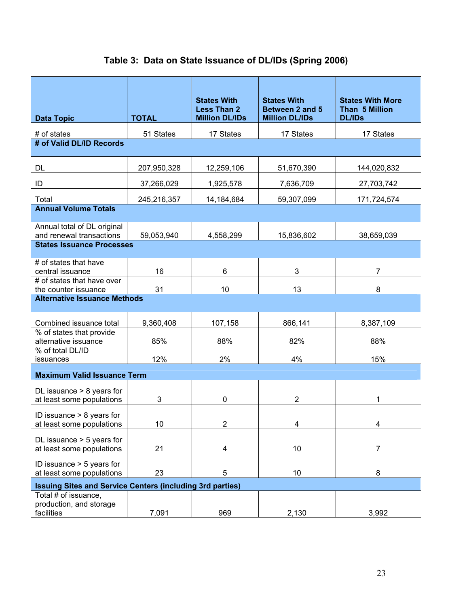|                                                                  |              | <b>States With</b>                          | <b>States With</b>                       | <b>States With More</b>         |
|------------------------------------------------------------------|--------------|---------------------------------------------|------------------------------------------|---------------------------------|
| <b>Data Topic</b>                                                | <b>TOTAL</b> | <b>Less Than 2</b><br><b>Million DL/IDs</b> | Between 2 and 5<br><b>Million DL/IDs</b> | Than 5 Million<br><b>DL/IDs</b> |
| # of states                                                      | 51 States    | 17 States                                   | 17 States                                | 17 States                       |
| # of Valid DL/ID Records                                         |              |                                             |                                          |                                 |
| DL                                                               | 207,950,328  | 12,259,106                                  | 51,670,390                               | 144,020,832                     |
| ID                                                               | 37,266,029   | 1,925,578                                   | 7,636,709                                | 27,703,742                      |
| Total                                                            | 245,216,357  | 14,184,684                                  | 59,307,099                               | 171,724,574                     |
| <b>Annual Volume Totals</b>                                      |              |                                             |                                          |                                 |
| Annual total of DL original<br>and renewal transactions          | 59,053,940   | 4,558,299                                   | 15,836,602                               | 38,659,039                      |
| <b>States Issuance Processes</b>                                 |              |                                             |                                          |                                 |
| # of states that have<br>central issuance                        | 16           | 6                                           | 3                                        | 7                               |
| # of states that have over<br>the counter issuance               | 31           | 10                                          | 13                                       | 8                               |
| <b>Alternative Issuance Methods</b>                              |              |                                             |                                          |                                 |
| Combined issuance total                                          | 9,360,408    | 107,158                                     | 866,141                                  | 8,387,109                       |
| % of states that provide<br>alternative issuance                 | 85%          | 88%                                         | 82%                                      | 88%                             |
| % of total DL/ID<br>issuances                                    | 12%          | 2%                                          | 4%                                       | 15%                             |
| <b>Maximum Valid Issuance Term</b>                               |              |                                             |                                          |                                 |
| DL issuance $> 8$ years for<br>at least some populations         | 3            | 0                                           | $\overline{2}$                           | 1                               |
| ID issuance $> 8$ years for<br>at least some populations         | 10           | 2                                           | 4                                        | 4                               |
| DL issuance $>$ 5 years for<br>at least some populations         | 21           | 4                                           | 10                                       | 7                               |
| ID issuance $>$ 5 years for<br>at least some populations         | 23           | 5                                           | 10                                       | 8                               |
| <b>Issuing Sites and Service Centers (including 3rd parties)</b> |              |                                             |                                          |                                 |
| Total # of issuance,<br>production, and storage<br>facilities    | 7,091        | 969                                         | 2,130                                    | 3,992                           |

# **Table 3: Data on State Issuance of DL/IDs (Spring 2006)**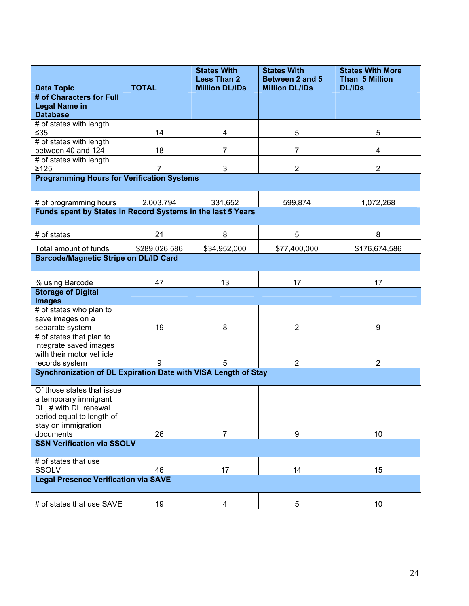|                                                                | <b>TOTAL</b>  | <b>States With</b><br><b>Less Than 2</b> | <b>States With</b><br>Between 2 and 5 | <b>States With More</b><br>Than 5 Million<br><b>DL/IDs</b> |
|----------------------------------------------------------------|---------------|------------------------------------------|---------------------------------------|------------------------------------------------------------|
| <b>Data Topic</b><br># of Characters for Full                  |               | <b>Million DL/IDs</b>                    | <b>Million DL/IDs</b>                 |                                                            |
| <b>Legal Name in</b>                                           |               |                                          |                                       |                                                            |
| <b>Database</b>                                                |               |                                          |                                       |                                                            |
| # of states with length                                        |               |                                          |                                       |                                                            |
| ≤35                                                            | 14            | 4                                        | 5                                     | 5                                                          |
| # of states with length                                        |               |                                          |                                       |                                                            |
| between 40 and 124                                             | 18            | 7                                        | 7                                     | 4                                                          |
| # of states with length                                        |               |                                          |                                       |                                                            |
| $\geq 125$                                                     | 7             | 3                                        | $\overline{2}$                        | 2                                                          |
| <b>Programming Hours for Verification Systems</b>              |               |                                          |                                       |                                                            |
| # of programming hours                                         | 2,003,794     | 331,652                                  | 599,874                               | 1,072,268                                                  |
| Funds spent by States in Record Systems in the last 5 Years    |               |                                          |                                       |                                                            |
|                                                                |               |                                          |                                       |                                                            |
| # of states                                                    | 21            | 8                                        | 5                                     | 8                                                          |
| Total amount of funds                                          | \$289,026,586 | \$34,952,000                             | \$77,400,000                          | \$176,674,586                                              |
| <b>Barcode/Magnetic Stripe on DL/ID Card</b>                   |               |                                          |                                       |                                                            |
| % using Barcode                                                | 47            | 13                                       | 17                                    | 17                                                         |
| <b>Storage of Digital</b><br><b>Images</b>                     |               |                                          |                                       |                                                            |
| # of states who plan to                                        |               |                                          |                                       |                                                            |
| save images on a                                               |               |                                          |                                       |                                                            |
| separate system                                                | 19            | 8                                        | 2                                     | 9                                                          |
| # of states that plan to                                       |               |                                          |                                       |                                                            |
| integrate saved images                                         |               |                                          |                                       |                                                            |
| with their motor vehicle                                       |               |                                          |                                       |                                                            |
| records system                                                 | 9             | 5                                        | 2                                     | 2                                                          |
| Synchronization of DL Expiration Date with VISA Length of Stay |               |                                          |                                       |                                                            |
| Of those states that issue                                     |               |                                          |                                       |                                                            |
| a temporary immigrant                                          |               |                                          |                                       |                                                            |
| DL, # with DL renewal                                          |               |                                          |                                       |                                                            |
| period equal to length of                                      |               |                                          |                                       |                                                            |
| stay on immigration                                            |               |                                          |                                       |                                                            |
| documents                                                      | 26            | 7                                        | 9                                     | 10                                                         |
| <b>SSN Verification via SSOLV</b>                              |               |                                          |                                       |                                                            |
| # of states that use                                           |               |                                          |                                       |                                                            |
| <b>SSOLV</b>                                                   | 46            | 17                                       | 14                                    | 15                                                         |
| <b>Legal Presence Verification via SAVE</b>                    |               |                                          |                                       |                                                            |
| # of states that use SAVE                                      | 19            | 4                                        | 5                                     | 10                                                         |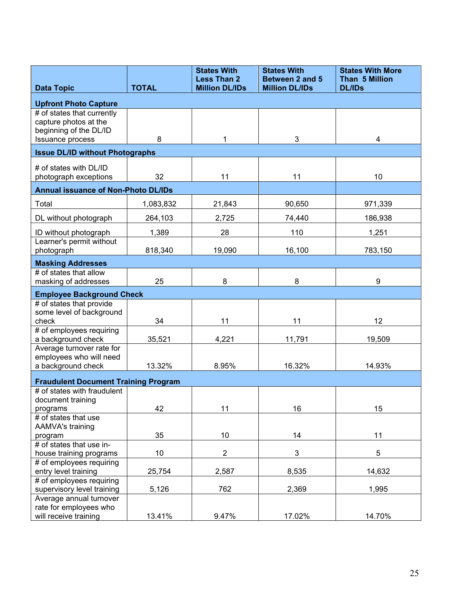|                                                                                                   |              | <b>States With</b><br><b>Less Than 2</b> | <b>States With</b><br>Between 2 and 5 | <b>States With More</b><br>Than 5 Million |
|---------------------------------------------------------------------------------------------------|--------------|------------------------------------------|---------------------------------------|-------------------------------------------|
| <b>Data Topic</b>                                                                                 | <b>TOTAL</b> | <b>Million DL/IDs</b>                    | <b>Million DL/IDs</b>                 | <b>DL/IDs</b>                             |
| <b>Upfront Photo Capture</b>                                                                      |              |                                          |                                       |                                           |
| # of states that currently<br>capture photos at the<br>beginning of the DL/ID<br>Issuance process | 8            | 1                                        | 3                                     | 4                                         |
|                                                                                                   |              |                                          |                                       |                                           |
| <b>Issue DL/ID without Photographs</b>                                                            |              |                                          |                                       |                                           |
| # of states with DL/ID<br>photograph exceptions                                                   | 32           | 11                                       | 11                                    | 10                                        |
| <b>Annual issuance of Non-Photo DL/IDs</b>                                                        |              |                                          |                                       |                                           |
| Total                                                                                             | 1,083,832    | 21,843                                   | 90,650                                | 971,339                                   |
| DL without photograph                                                                             | 264,103      | 2,725                                    | 74,440                                | 186,938                                   |
| ID without photograph                                                                             | 1,389        | 28                                       | 110                                   | 1,251                                     |
| Learner's permit without<br>photograph                                                            | 818,340      | 19,090                                   | 16,100                                | 783,150                                   |
| <b>Masking Addresses</b>                                                                          |              |                                          |                                       |                                           |
| # of states that allow                                                                            |              |                                          |                                       |                                           |
| masking of addresses                                                                              | 25           | 8                                        | 8                                     | 9                                         |
| <b>Employee Background Check</b>                                                                  |              |                                          |                                       |                                           |
| # of states that provide                                                                          |              |                                          |                                       |                                           |
| some level of background<br>check                                                                 | 34           | 11                                       | 11                                    | 12                                        |
| # of employees requiring                                                                          |              |                                          |                                       |                                           |
| a background check                                                                                | 35,521       | 4,221                                    | 11,791                                | 19,509                                    |
| Average turnover rate for<br>employees who will need                                              |              |                                          |                                       |                                           |
| a background check                                                                                | 13.32%       | 8.95%                                    | 16.32%                                | 14.93%                                    |
|                                                                                                   |              |                                          |                                       |                                           |
| <b>Fraudulent Document Training Program</b><br># of states with fraudulent                        |              |                                          |                                       |                                           |
| document training                                                                                 |              |                                          |                                       |                                           |
| programs                                                                                          | 42           | 11                                       | 16                                    | 15                                        |
| # of states that use                                                                              |              |                                          |                                       |                                           |
| AAMVA's training<br>program                                                                       | 35           | 10                                       | 14                                    | 11                                        |
| # of states that use in-                                                                          |              |                                          |                                       |                                           |
| house training programs                                                                           | 10           | $\overline{2}$                           | 3                                     | $\overline{5}$                            |
| # of employees requiring                                                                          |              |                                          |                                       |                                           |
| entry level training                                                                              | 25,754       | 2,587                                    | 8,535                                 | 14,632                                    |
| # of employees requiring<br>supervisory level training                                            | 5,126        | 762                                      | 2,369                                 | 1,995                                     |
| Average annual turnover                                                                           |              |                                          |                                       |                                           |
| rate for employees who                                                                            |              |                                          |                                       |                                           |
| will receive training                                                                             | 13.41%       | 9.47%                                    | 17.02%                                | 14.70%                                    |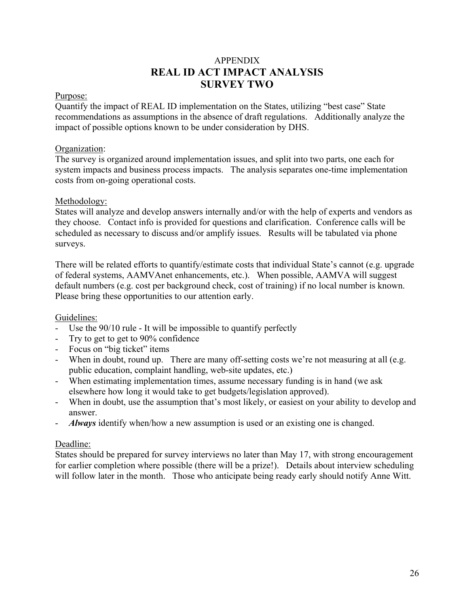# APPENDIX **REAL ID ACT IMPACT ANALYSIS SURVEY TWO**

## Purpose:

Quantify the impact of REAL ID implementation on the States, utilizing "best case" State recommendations as assumptions in the absence of draft regulations. Additionally analyze the impact of possible options known to be under consideration by DHS.

## Organization:

The survey is organized around implementation issues, and split into two parts, one each for system impacts and business process impacts. The analysis separates one-time implementation costs from on-going operational costs.

## Methodology:

States will analyze and develop answers internally and/or with the help of experts and vendors as they choose. Contact info is provided for questions and clarification. Conference calls will be scheduled as necessary to discuss and/or amplify issues. Results will be tabulated via phone surveys.

There will be related efforts to quantify/estimate costs that individual State's cannot (e.g. upgrade of federal systems, AAMVAnet enhancements, etc.). When possible, AAMVA will suggest default numbers (e.g. cost per background check, cost of training) if no local number is known. Please bring these opportunities to our attention early.

# Guidelines:

- Use the 90/10 rule It will be impossible to quantify perfectly
- Try to get to get to 90% confidence
- Focus on "big ticket" items
- When in doubt, round up. There are many off-setting costs we're not measuring at all (e.g. public education, complaint handling, web-site updates, etc.)
- When estimating implementation times, assume necessary funding is in hand (we ask elsewhere how long it would take to get budgets/legislation approved).
- When in doubt, use the assumption that's most likely, or easiest on your ability to develop and answer.
- *Always* identify when/how a new assumption is used or an existing one is changed.

# Deadline:

States should be prepared for survey interviews no later than May 17, with strong encouragement for earlier completion where possible (there will be a prize!). Details about interview scheduling will follow later in the month. Those who anticipate being ready early should notify Anne Witt.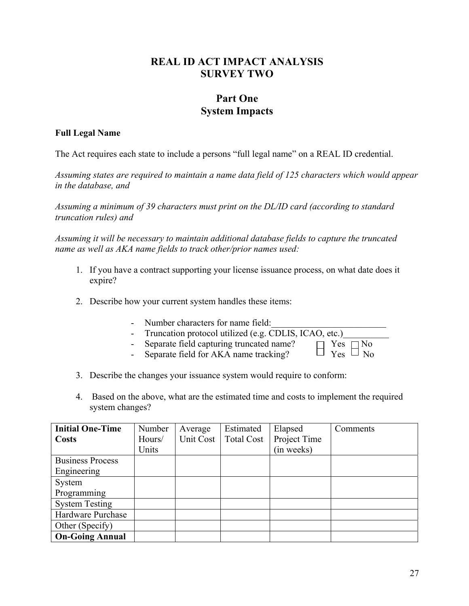# **REAL ID ACT IMPACT ANALYSIS SURVEY TWO**

# **Part One System Impacts**

# **Full Legal Name**

The Act requires each state to include a persons "full legal name" on a REAL ID credential.

*Assuming states are required to maintain a name data field of 125 characters which would appear in the database, and* 

*Assuming a minimum of 39 characters must print on the DL/ID card (according to standard truncation rules) and* 

*Assuming it will be necessary to maintain additional database fields to capture the truncated name as well as AKA name fields to track other/prior names used:* 

- 1. If you have a contract supporting your license issuance process, on what date does it expire?
- 2. Describe how your current system handles these items:
	- Number characters for name field:
	-
	- Truncation protocol utilized (e.g. CDLIS, ICAO, etc.)<br>- Separate field capturing truncated name?<br>- Separate field for AKA name tracking?<br>- Yes  $\Box$  No - Separate field capturing truncated name?
	- Separate field for AKA name tracking?
- 3. Describe the changes your issuance system would require to conform:
- 4. Based on the above, what are the estimated time and costs to implement the required system changes?

| <b>Initial One-Time</b> | Number | Average   | Estimated         | Elapsed      | Comments |
|-------------------------|--------|-----------|-------------------|--------------|----------|
| <b>Costs</b>            | Hours/ | Unit Cost | <b>Total Cost</b> | Project Time |          |
|                         | Units  |           |                   | (in weeks)   |          |
| <b>Business Process</b> |        |           |                   |              |          |
| Engineering             |        |           |                   |              |          |
| System                  |        |           |                   |              |          |
| Programming             |        |           |                   |              |          |
| <b>System Testing</b>   |        |           |                   |              |          |
| Hardware Purchase       |        |           |                   |              |          |
| Other (Specify)         |        |           |                   |              |          |
| <b>On-Going Annual</b>  |        |           |                   |              |          |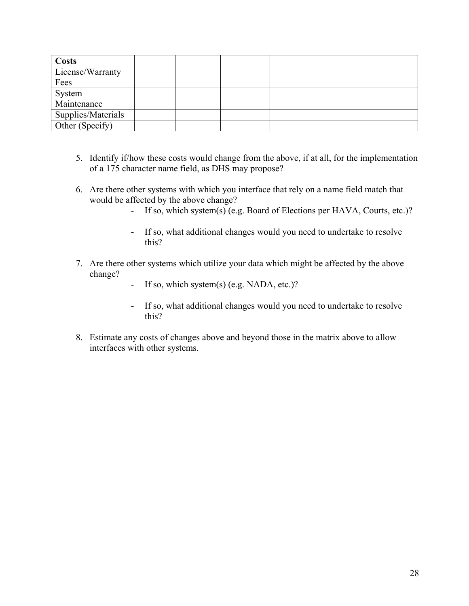| <b>Costs</b>       |  |  |  |
|--------------------|--|--|--|
| License/Warranty   |  |  |  |
| Fees               |  |  |  |
| System             |  |  |  |
| Maintenance        |  |  |  |
| Supplies/Materials |  |  |  |
| Other (Specify)    |  |  |  |

- 5. Identify if/how these costs would change from the above, if at all, for the implementation of a 175 character name field, as DHS may propose?
- 6. Are there other systems with which you interface that rely on a name field match that would be affected by the above change?
	- If so, which system(s) (e.g. Board of Elections per HAVA, Courts, etc.)?
	- If so, what additional changes would you need to undertake to resolve this?
- 7. Are there other systems which utilize your data which might be affected by the above change?
	- If so, which system(s) (e.g. NADA, etc.)?
	- If so, what additional changes would you need to undertake to resolve this?
- 8. Estimate any costs of changes above and beyond those in the matrix above to allow interfaces with other systems.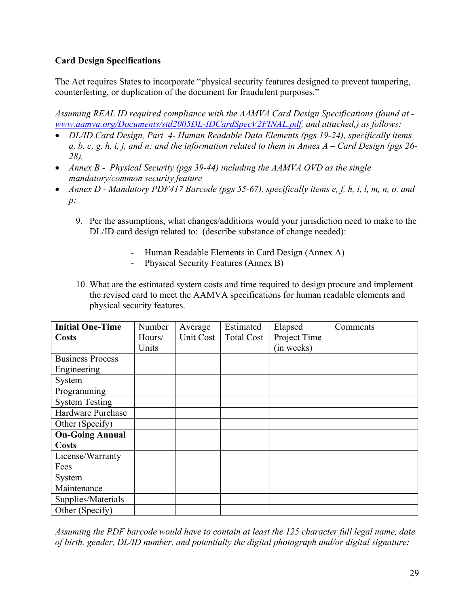# **Card Design Specifications**

The Act requires States to incorporate "physical security features designed to prevent tampering, counterfeiting, or duplication of the document for fraudulent purposes."

*Assuming REAL ID required compliance with the AAMVA Card Design Specifications (found at www.aamva.org/Documents/std2005DL-IDCardSpecV2FINAL.pdf, and attached,) as follows:* 

- *DL/ID Card Design, Part 4- Human Readable Data Elements (pgs 19-24), specifically items a, b, c, g, h, i, j, and n; and the information related to them in Annex A – Card Design (pgs 26- 28),*
- *Annex B Physical Security (pgs 39-44) including the AAMVA OVD as the single mandatory/common security feature*
- *Annex D Mandatory PDF417 Barcode (pgs 55-67), specifically items e, f, h, i, l, m, n, o, and p:*
	- 9. Per the assumptions, what changes/additions would your jurisdiction need to make to the DL/ID card design related to: (describe substance of change needed):
		- Human Readable Elements in Card Design (Annex A)
		- Physical Security Features (Annex B)
	- 10. What are the estimated system costs and time required to design procure and implement the revised card to meet the AAMVA specifications for human readable elements and physical security features.

| <b>Initial One-Time</b> | <b>Number</b> | Average   | Estimated         | Elapsed      | Comments |
|-------------------------|---------------|-----------|-------------------|--------------|----------|
| <b>Costs</b>            | Hours/        | Unit Cost | <b>Total Cost</b> | Project Time |          |
|                         | Units         |           |                   | (in weeks)   |          |
| <b>Business Process</b> |               |           |                   |              |          |
| Engineering             |               |           |                   |              |          |
| System                  |               |           |                   |              |          |
| Programming             |               |           |                   |              |          |
| <b>System Testing</b>   |               |           |                   |              |          |
| Hardware Purchase       |               |           |                   |              |          |
| Other (Specify)         |               |           |                   |              |          |
| <b>On-Going Annual</b>  |               |           |                   |              |          |
| <b>Costs</b>            |               |           |                   |              |          |
| License/Warranty        |               |           |                   |              |          |
| Fees                    |               |           |                   |              |          |
| System                  |               |           |                   |              |          |
| Maintenance             |               |           |                   |              |          |
| Supplies/Materials      |               |           |                   |              |          |
| Other (Specify)         |               |           |                   |              |          |

*Assuming the PDF barcode would have to contain at least the 125 character full legal name, date of birth, gender, DL/ID number, and potentially the digital photograph and/or digital signature:*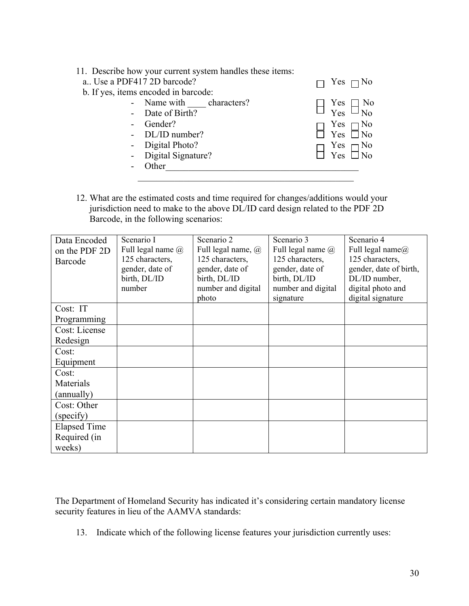|  |  |  |  | 11. Describe how your current system handles these items: |  |
|--|--|--|--|-----------------------------------------------------------|--|
|--|--|--|--|-----------------------------------------------------------|--|

| a Use a PDF417 2D barcode?           | $\Box$ Yes $\Box$ No                  |
|--------------------------------------|---------------------------------------|
| b. If yes, items encoded in barcode: |                                       |
| - Name with characters?              | $\Box$ Yes $\Box$ No<br>Yes $\Box$ No |
| - Date of Birth?                     |                                       |
| - Gender?                            |                                       |
| - DL/ID number?                      | $\Box$ Yes $\Box$ No<br>Yes $\Box$ No |
| - Digital Photo?                     |                                       |
| - Digital Signature?                 | $\Box$ Yes $\Box$ No<br>Yes $\Box$ No |
| - Other                              |                                       |
|                                      |                                       |

12. What are the estimated costs and time required for changes/additions would your jurisdiction need to make to the above DL/ID card design related to the PDF 2D Barcode, in the following scenarios:

| Data Encoded<br>on the PDF 2D<br>Barcode | Scenario I<br>Full legal name @<br>125 characters,<br>gender, date of<br>birth, DL/ID<br>number | Scenario 2<br>Full legal name, @<br>125 characters,<br>gender, date of<br>birth, DL/ID<br>number and digital<br>photo | Scenario 3<br>Full legal name $(a)$<br>125 characters,<br>gender, date of<br>birth, DL/ID<br>number and digital<br>signature | Scenario 4<br>Full legal name $(a)$<br>125 characters,<br>gender, date of birth,<br>DL/ID number,<br>digital photo and<br>digital signature |
|------------------------------------------|-------------------------------------------------------------------------------------------------|-----------------------------------------------------------------------------------------------------------------------|------------------------------------------------------------------------------------------------------------------------------|---------------------------------------------------------------------------------------------------------------------------------------------|
| Cost: IT                                 |                                                                                                 |                                                                                                                       |                                                                                                                              |                                                                                                                                             |
| Programming                              |                                                                                                 |                                                                                                                       |                                                                                                                              |                                                                                                                                             |
| Cost: License                            |                                                                                                 |                                                                                                                       |                                                                                                                              |                                                                                                                                             |
| Redesign                                 |                                                                                                 |                                                                                                                       |                                                                                                                              |                                                                                                                                             |
| Cost:                                    |                                                                                                 |                                                                                                                       |                                                                                                                              |                                                                                                                                             |
| Equipment                                |                                                                                                 |                                                                                                                       |                                                                                                                              |                                                                                                                                             |
| Cost:                                    |                                                                                                 |                                                                                                                       |                                                                                                                              |                                                                                                                                             |
| Materials                                |                                                                                                 |                                                                                                                       |                                                                                                                              |                                                                                                                                             |
| (annually)                               |                                                                                                 |                                                                                                                       |                                                                                                                              |                                                                                                                                             |
| Cost: Other                              |                                                                                                 |                                                                                                                       |                                                                                                                              |                                                                                                                                             |
| (specify)                                |                                                                                                 |                                                                                                                       |                                                                                                                              |                                                                                                                                             |
| <b>Elapsed Time</b>                      |                                                                                                 |                                                                                                                       |                                                                                                                              |                                                                                                                                             |
| Required (in                             |                                                                                                 |                                                                                                                       |                                                                                                                              |                                                                                                                                             |
| weeks)                                   |                                                                                                 |                                                                                                                       |                                                                                                                              |                                                                                                                                             |

The Department of Homeland Security has indicated it's considering certain mandatory license security features in lieu of the AAMVA standards:

13. Indicate which of the following license features your jurisdiction currently uses: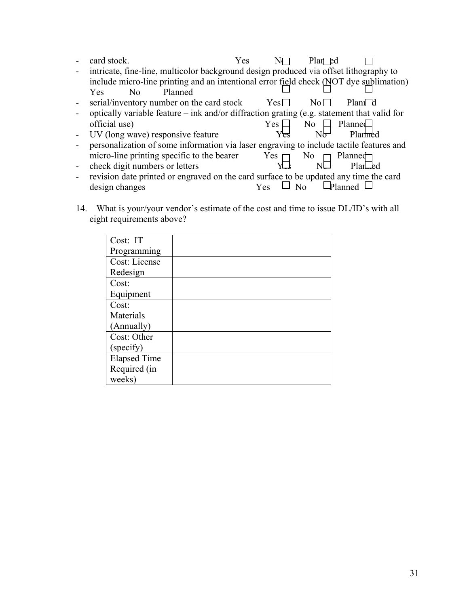|                | card stock.                                                                                           | Yes          | $Plan$ $Ed$     |                |
|----------------|-------------------------------------------------------------------------------------------------------|--------------|-----------------|----------------|
|                | intricate, fine-line, multicolor background design produced via offset lithography to                 |              |                 |                |
|                | include micro-line printing and an intentional error field check $(\underline{NOT})$ dye sublimation) |              |                 |                |
|                | Planned<br><b>Yes</b><br>No.                                                                          |              |                 |                |
| $\blacksquare$ | serial/inventory number on the card stock                                                             | $Yes$ $\Box$ | $\rm No$ $\Box$ | Plani d        |
|                | optically variable feature – ink and/or diffraction grating (e.g. statement that valid for            |              |                 |                |
|                | official use)                                                                                         | Yes          | No -            | Planne         |
| $\blacksquare$ | UV (long wave) responsive feature                                                                     |              |                 | Planmed        |
|                | personalization of some information via laser engraving to include tactile features and               |              |                 |                |
|                | micro-line printing specific to the bearer                                                            | Yes $\Box$   | No 1            | Planned        |
| $\blacksquare$ | check digit numbers or letters                                                                        |              |                 | Plar – ed      |
| $\blacksquare$ | revision date printed or engraved on the card surface to be updated any time the card                 |              |                 |                |
|                | design changes                                                                                        | Yes          |                 | <b>Planned</b> |

14. What is your/your vendor's estimate of the cost and time to issue DL/ID's with all eight requirements above?

| Cost: IT            |  |
|---------------------|--|
| Programming         |  |
| Cost: License       |  |
| Redesign            |  |
| Cost:               |  |
| Equipment           |  |
| Cost:               |  |
| Materials           |  |
| (Annually)          |  |
| Cost: Other         |  |
| (specify)           |  |
| <b>Elapsed Time</b> |  |
| Required (in        |  |
| weeks)              |  |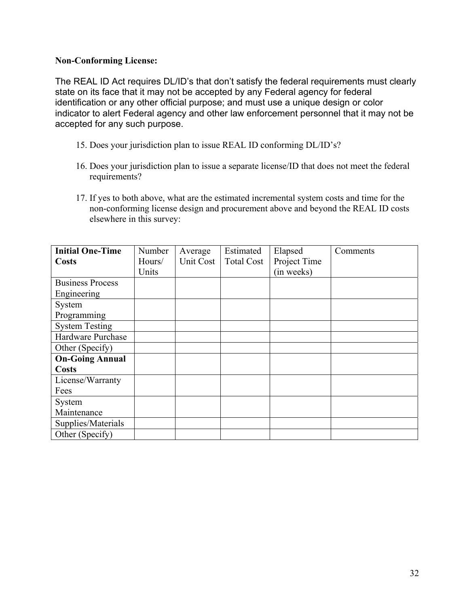## **Non-Conforming License:**

The REAL ID Act requires DL/ID's that don't satisfy the federal requirements must clearly state on its face that it may not be accepted by any Federal agency for federal identification or any other official purpose; and must use a unique design or color indicator to alert Federal agency and other law enforcement personnel that it may not be accepted for any such purpose.

- 15. Does your jurisdiction plan to issue REAL ID conforming DL/ID's?
- 16. Does your jurisdiction plan to issue a separate license/ID that does not meet the federal requirements?
- 17. If yes to both above, what are the estimated incremental system costs and time for the non-conforming license design and procurement above and beyond the REAL ID costs elsewhere in this survey:

| <b>Initial One-Time</b> | Number | Average   | Estimated         | Elapsed      | Comments |
|-------------------------|--------|-----------|-------------------|--------------|----------|
| <b>Costs</b>            | Hours/ | Unit Cost | <b>Total Cost</b> | Project Time |          |
|                         | Units  |           |                   | (in weeks)   |          |
| <b>Business Process</b> |        |           |                   |              |          |
| Engineering             |        |           |                   |              |          |
| System                  |        |           |                   |              |          |
| Programming             |        |           |                   |              |          |
| <b>System Testing</b>   |        |           |                   |              |          |
| Hardware Purchase       |        |           |                   |              |          |
| Other (Specify)         |        |           |                   |              |          |
| <b>On-Going Annual</b>  |        |           |                   |              |          |
| <b>Costs</b>            |        |           |                   |              |          |
| License/Warranty        |        |           |                   |              |          |
| Fees                    |        |           |                   |              |          |
| System                  |        |           |                   |              |          |
| Maintenance             |        |           |                   |              |          |
| Supplies/Materials      |        |           |                   |              |          |
| Other (Specify)         |        |           |                   |              |          |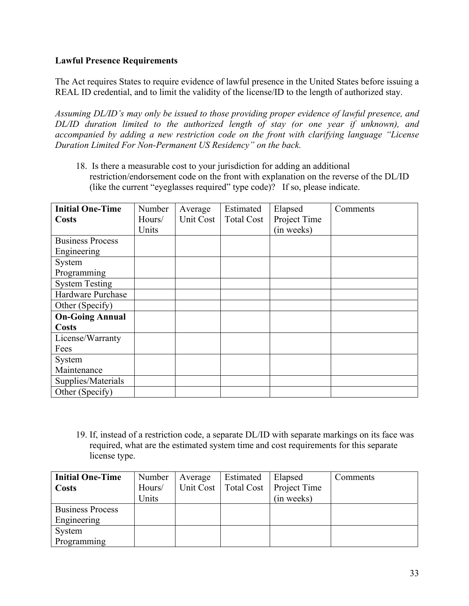# **Lawful Presence Requirements**

The Act requires States to require evidence of lawful presence in the United States before issuing a REAL ID credential, and to limit the validity of the license/ID to the length of authorized stay.

*Assuming DL/ID's may only be issued to those providing proper evidence of lawful presence, and DL/ID duration limited to the authorized length of stay (or one year if unknown), and accompanied by adding a new restriction code on the front with clarifying language "License Duration Limited For Non-Permanent US Residency" on the back.*

18. Is there a measurable cost to your jurisdiction for adding an additional restriction/endorsement code on the front with explanation on the reverse of the DL/ID (like the current "eyeglasses required" type code)? If so, please indicate.

| <b>Initial One-Time</b> | Number | Average   | Estimated         | Elapsed      | Comments |
|-------------------------|--------|-----------|-------------------|--------------|----------|
| <b>Costs</b>            | Hours/ | Unit Cost | <b>Total Cost</b> | Project Time |          |
|                         | Units  |           |                   | (in weeks)   |          |
| <b>Business Process</b> |        |           |                   |              |          |
| Engineering             |        |           |                   |              |          |
| System                  |        |           |                   |              |          |
| Programming             |        |           |                   |              |          |
| <b>System Testing</b>   |        |           |                   |              |          |
| Hardware Purchase       |        |           |                   |              |          |
| Other (Specify)         |        |           |                   |              |          |
| <b>On-Going Annual</b>  |        |           |                   |              |          |
| <b>Costs</b>            |        |           |                   |              |          |
| License/Warranty        |        |           |                   |              |          |
| Fees                    |        |           |                   |              |          |
| System                  |        |           |                   |              |          |
| Maintenance             |        |           |                   |              |          |
| Supplies/Materials      |        |           |                   |              |          |
| Other (Specify)         |        |           |                   |              |          |

19. If, instead of a restriction code, a separate DL/ID with separate markings on its face was required, what are the estimated system time and cost requirements for this separate license type.

| <b>Initial One-Time</b> | Number | Average   | Estimated         | Elapsed      | Comments |
|-------------------------|--------|-----------|-------------------|--------------|----------|
| <b>Costs</b>            | Hours/ | Unit Cost | <b>Total Cost</b> | Project Time |          |
|                         | Units  |           |                   | (in weeks)   |          |
| <b>Business Process</b> |        |           |                   |              |          |
| Engineering             |        |           |                   |              |          |
| System                  |        |           |                   |              |          |
| Programming             |        |           |                   |              |          |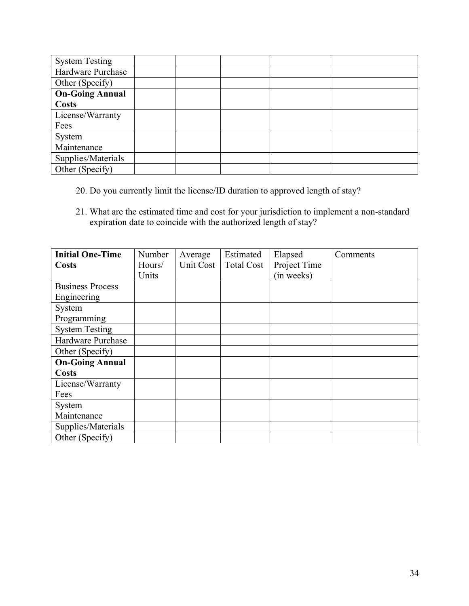| <b>System Testing</b>  |  |  |  |
|------------------------|--|--|--|
| Hardware Purchase      |  |  |  |
| Other (Specify)        |  |  |  |
| <b>On-Going Annual</b> |  |  |  |
| <b>Costs</b>           |  |  |  |
| License/Warranty       |  |  |  |
| Fees                   |  |  |  |
| System                 |  |  |  |
| Maintenance            |  |  |  |
| Supplies/Materials     |  |  |  |
| Other (Specify)        |  |  |  |

- 20. Do you currently limit the license/ID duration to approved length of stay?
- 21. What are the estimated time and cost for your jurisdiction to implement a non-standard expiration date to coincide with the authorized length of stay?

| <b>Initial One-Time</b> | Number | Average   | Estimated         | Elapsed      | Comments |
|-------------------------|--------|-----------|-------------------|--------------|----------|
| Costs                   | Hours/ | Unit Cost | <b>Total Cost</b> | Project Time |          |
|                         | Units  |           |                   | (in weeks)   |          |
| <b>Business Process</b> |        |           |                   |              |          |
| Engineering             |        |           |                   |              |          |
| System                  |        |           |                   |              |          |
| Programming             |        |           |                   |              |          |
| <b>System Testing</b>   |        |           |                   |              |          |
| Hardware Purchase       |        |           |                   |              |          |
| Other (Specify)         |        |           |                   |              |          |
| <b>On-Going Annual</b>  |        |           |                   |              |          |
| <b>Costs</b>            |        |           |                   |              |          |
| License/Warranty        |        |           |                   |              |          |
| Fees                    |        |           |                   |              |          |
| System                  |        |           |                   |              |          |
| Maintenance             |        |           |                   |              |          |
| Supplies/Materials      |        |           |                   |              |          |
| Other (Specify)         |        |           |                   |              |          |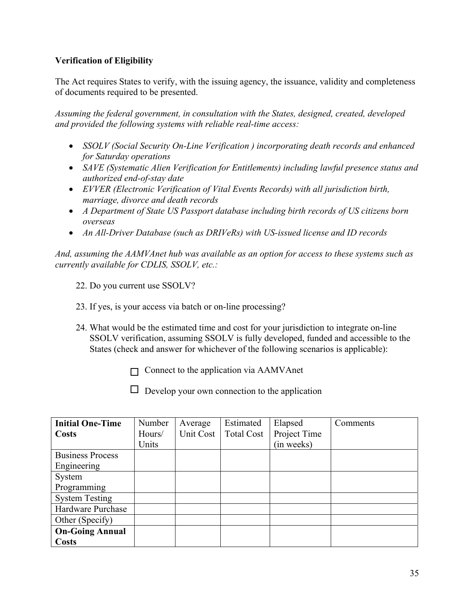# **Verification of Eligibility**

The Act requires States to verify, with the issuing agency, the issuance, validity and completeness of documents required to be presented.

*Assuming the federal government, in consultation with the States, designed, created, developed and provided the following systems with reliable real-time access:* 

- *SSOLV (Social Security On-Line Verification ) incorporating death records and enhanced for Saturday operations*
- *SAVE (Systematic Alien Verification for Entitlements) including lawful presence status and authorized end-of-stay date*
- *EVVER (Electronic Verification of Vital Events Records) with all jurisdiction birth, marriage, divorce and death records*
- *A Department of State US Passport database including birth records of US citizens born overseas*
- *An All-Driver Database (such as DRIVeRs) with US-issued license and ID records*

*And, assuming the AAMVAnet hub was available as an option for access to these systems such as currently available for CDLIS, SSOLV, etc.:* 

- 22. Do you current use SSOLV?
- 23. If yes, is your access via batch or on-line processing?
- 24. What would be the estimated time and cost for your jurisdiction to integrate on-line SSOLV verification, assuming SSOLV is fully developed, funded and accessible to the States (check and answer for whichever of the following scenarios is applicable):

 $\Box$  Connect to the application via AAMVAnet

 $\Box$  Develop your own connection to the application

| <b>Initial One-Time</b> | Number | Average   | Estimated         | Elapsed      | Comments |
|-------------------------|--------|-----------|-------------------|--------------|----------|
| <b>Costs</b>            | Hours/ | Unit Cost | <b>Total Cost</b> | Project Time |          |
|                         | Units  |           |                   | (in weeks)   |          |
| <b>Business Process</b> |        |           |                   |              |          |
| Engineering             |        |           |                   |              |          |
| System                  |        |           |                   |              |          |
| Programming             |        |           |                   |              |          |
| <b>System Testing</b>   |        |           |                   |              |          |
| Hardware Purchase       |        |           |                   |              |          |
| Other (Specify)         |        |           |                   |              |          |
| <b>On-Going Annual</b>  |        |           |                   |              |          |
| <b>Costs</b>            |        |           |                   |              |          |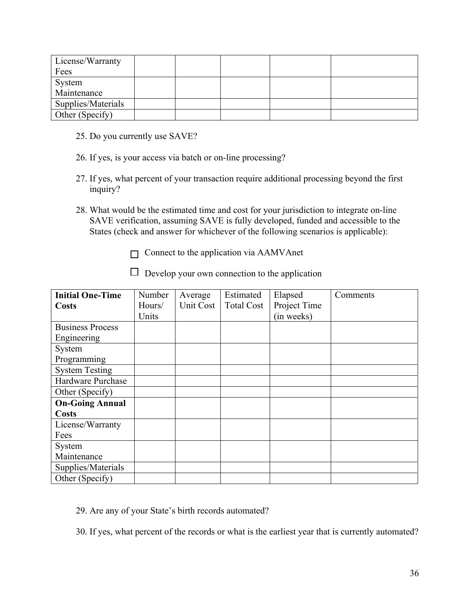| License/Warranty   |  |  |  |
|--------------------|--|--|--|
| Fees               |  |  |  |
| System             |  |  |  |
| Maintenance        |  |  |  |
| Supplies/Materials |  |  |  |
| Other (Specify)    |  |  |  |

- 25. Do you currently use SAVE?
- 26. If yes, is your access via batch or on-line processing?
- 27. If yes, what percent of your transaction require additional processing beyond the first inquiry?
- 28. What would be the estimated time and cost for your jurisdiction to integrate on-line SAVE verification, assuming SAVE is fully developed, funded and accessible to the States (check and answer for whichever of the following scenarios is applicable):
	- $\Box$  Connect to the application via AAMVAnet

| <b>Initial One-Time</b> | Number | Average   | Estimated         | Elapsed      | Comments |
|-------------------------|--------|-----------|-------------------|--------------|----------|
| <b>Costs</b>            | Hours/ | Unit Cost | <b>Total Cost</b> | Project Time |          |
|                         | Units  |           |                   | (in weeks)   |          |
| <b>Business Process</b> |        |           |                   |              |          |
| Engineering             |        |           |                   |              |          |
| System                  |        |           |                   |              |          |
| Programming             |        |           |                   |              |          |
| <b>System Testing</b>   |        |           |                   |              |          |
| Hardware Purchase       |        |           |                   |              |          |
| Other (Specify)         |        |           |                   |              |          |
| <b>On-Going Annual</b>  |        |           |                   |              |          |
| <b>Costs</b>            |        |           |                   |              |          |
| License/Warranty        |        |           |                   |              |          |
| Fees                    |        |           |                   |              |          |
| System                  |        |           |                   |              |          |
| Maintenance             |        |           |                   |              |          |
| Supplies/Materials      |        |           |                   |              |          |
| Other (Specify)         |        |           |                   |              |          |

 $\Box$  Develop your own connection to the application

- 29. Are any of your State's birth records automated?
- 30. If yes, what percent of the records or what is the earliest year that is currently automated?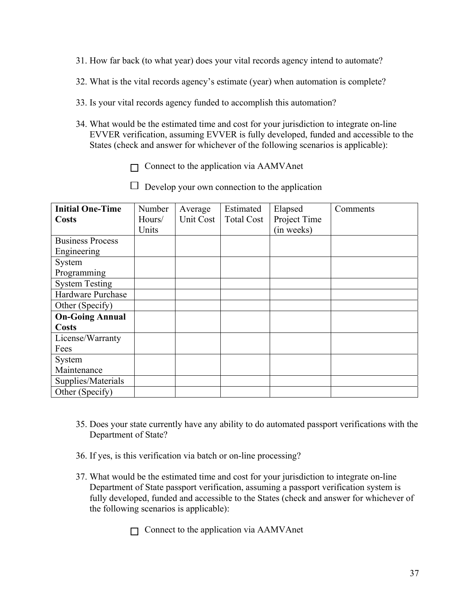- 31. How far back (to what year) does your vital records agency intend to automate?
- 32. What is the vital records agency's estimate (year) when automation is complete?
- 33. Is your vital records agency funded to accomplish this automation?
- 34. What would be the estimated time and cost for your jurisdiction to integrate on-line EVVER verification, assuming EVVER is fully developed, funded and accessible to the States (check and answer for whichever of the following scenarios is applicable):
	- $\Box$  Connect to the application via AAMVAnet
	- $\Box$  Develop your own connection to the application

| <b>Initial One-Time</b> | Number | Average   | Estimated         | Elapsed      | Comments |
|-------------------------|--------|-----------|-------------------|--------------|----------|
| Costs                   | Hours/ | Unit Cost | <b>Total Cost</b> | Project Time |          |
|                         | Units  |           |                   | (in weeks)   |          |
| <b>Business Process</b> |        |           |                   |              |          |
| Engineering             |        |           |                   |              |          |
| System                  |        |           |                   |              |          |
| Programming             |        |           |                   |              |          |
| <b>System Testing</b>   |        |           |                   |              |          |
| Hardware Purchase       |        |           |                   |              |          |
| Other (Specify)         |        |           |                   |              |          |
| <b>On-Going Annual</b>  |        |           |                   |              |          |
| <b>Costs</b>            |        |           |                   |              |          |
| License/Warranty        |        |           |                   |              |          |
| Fees                    |        |           |                   |              |          |
| System                  |        |           |                   |              |          |
| Maintenance             |        |           |                   |              |          |
| Supplies/Materials      |        |           |                   |              |          |
| Other (Specify)         |        |           |                   |              |          |

- 35. Does your state currently have any ability to do automated passport verifications with the Department of State?
- 36. If yes, is this verification via batch or on-line processing?
- 37. What would be the estimated time and cost for your jurisdiction to integrate on-line Department of State passport verification, assuming a passport verification system is fully developed, funded and accessible to the States (check and answer for whichever of the following scenarios is applicable):
	- $\Box$  Connect to the application via AAMVAnet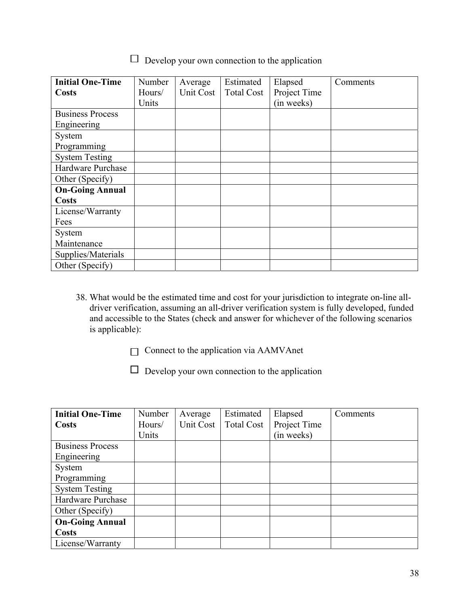$\Box$  Develop your own connection to the application

| <b>Initial One-Time</b> | Number | Average   | Estimated         | Elapsed      | Comments |
|-------------------------|--------|-----------|-------------------|--------------|----------|
| <b>Costs</b>            | Hours/ | Unit Cost | <b>Total Cost</b> | Project Time |          |
|                         | Units  |           |                   | (in weeks)   |          |
| <b>Business Process</b> |        |           |                   |              |          |
| Engineering             |        |           |                   |              |          |
| System                  |        |           |                   |              |          |
| Programming             |        |           |                   |              |          |
| <b>System Testing</b>   |        |           |                   |              |          |
| Hardware Purchase       |        |           |                   |              |          |
| Other (Specify)         |        |           |                   |              |          |
| <b>On-Going Annual</b>  |        |           |                   |              |          |
| <b>Costs</b>            |        |           |                   |              |          |
| License/Warranty        |        |           |                   |              |          |
| Fees                    |        |           |                   |              |          |
| System                  |        |           |                   |              |          |
| Maintenance             |        |           |                   |              |          |
| Supplies/Materials      |        |           |                   |              |          |
| Other (Specify)         |        |           |                   |              |          |

- 38. What would be the estimated time and cost for your jurisdiction to integrate on-line alldriver verification, assuming an all-driver verification system is fully developed, funded and accessible to the States (check and answer for whichever of the following scenarios is applicable):
	- $\Box$  Connect to the application via AAMVAnet

 $\Box$  Develop your own connection to the application

| <b>Initial One-Time</b> | Number | Average          | Estimated         | Elapsed      | Comments |
|-------------------------|--------|------------------|-------------------|--------------|----------|
| <b>Costs</b>            | Hours/ | <b>Unit Cost</b> | <b>Total Cost</b> | Project Time |          |
|                         | Units  |                  |                   | (in weeks)   |          |
| <b>Business Process</b> |        |                  |                   |              |          |
| Engineering             |        |                  |                   |              |          |
| System                  |        |                  |                   |              |          |
| Programming             |        |                  |                   |              |          |
| <b>System Testing</b>   |        |                  |                   |              |          |
| Hardware Purchase       |        |                  |                   |              |          |
| Other (Specify)         |        |                  |                   |              |          |
| <b>On-Going Annual</b>  |        |                  |                   |              |          |
| <b>Costs</b>            |        |                  |                   |              |          |
| License/Warranty        |        |                  |                   |              |          |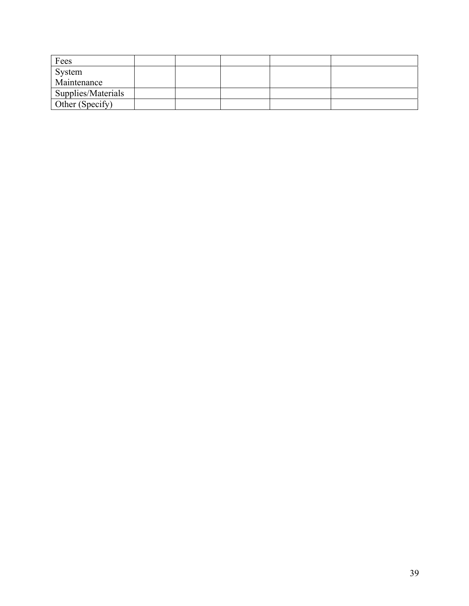| Fees               |  |  |  |
|--------------------|--|--|--|
| System             |  |  |  |
| Maintenance        |  |  |  |
| Supplies/Materials |  |  |  |
| Other (Specify)    |  |  |  |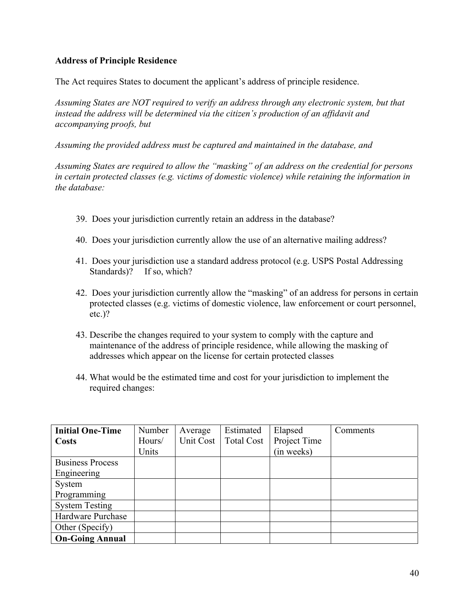# **Address of Principle Residence**

The Act requires States to document the applicant's address of principle residence.

*Assuming States are NOT required to verify an address through any electronic system, but that instead the address will be determined via the citizen's production of an affidavit and accompanying proofs, but* 

*Assuming the provided address must be captured and maintained in the database, and* 

*Assuming States are required to allow the "masking" of an address on the credential for persons in certain protected classes (e.g. victims of domestic violence) while retaining the information in the database:* 

- 39. Does your jurisdiction currently retain an address in the database?
- 40. Does your jurisdiction currently allow the use of an alternative mailing address?
- 41. Does your jurisdiction use a standard address protocol (e.g. USPS Postal Addressing Standards)? If so, which?
- 42. Does your jurisdiction currently allow the "masking" of an address for persons in certain protected classes (e.g. victims of domestic violence, law enforcement or court personnel, etc.)?
- 43. Describe the changes required to your system to comply with the capture and maintenance of the address of principle residence, while allowing the masking of addresses which appear on the license for certain protected classes
- 44. What would be the estimated time and cost for your jurisdiction to implement the required changes:

| <b>Initial One-Time</b> | Number | Average   | Estimated         | Elapsed      | Comments |
|-------------------------|--------|-----------|-------------------|--------------|----------|
| <b>Costs</b>            | Hours/ | Unit Cost | <b>Total Cost</b> | Project Time |          |
|                         | Units  |           |                   | (in weeks)   |          |
| <b>Business Process</b> |        |           |                   |              |          |
| Engineering             |        |           |                   |              |          |
| System                  |        |           |                   |              |          |
| Programming             |        |           |                   |              |          |
| <b>System Testing</b>   |        |           |                   |              |          |
| Hardware Purchase       |        |           |                   |              |          |
| Other (Specify)         |        |           |                   |              |          |
| <b>On-Going Annual</b>  |        |           |                   |              |          |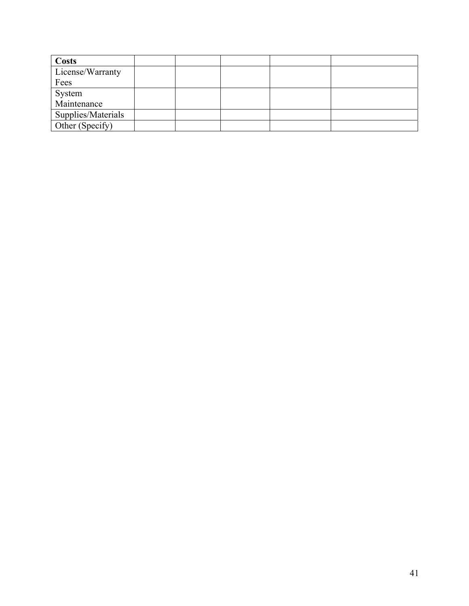| Costs              |  |  |  |
|--------------------|--|--|--|
| License/Warranty   |  |  |  |
| Fees               |  |  |  |
| System             |  |  |  |
| Maintenance        |  |  |  |
| Supplies/Materials |  |  |  |
| Other (Specify)    |  |  |  |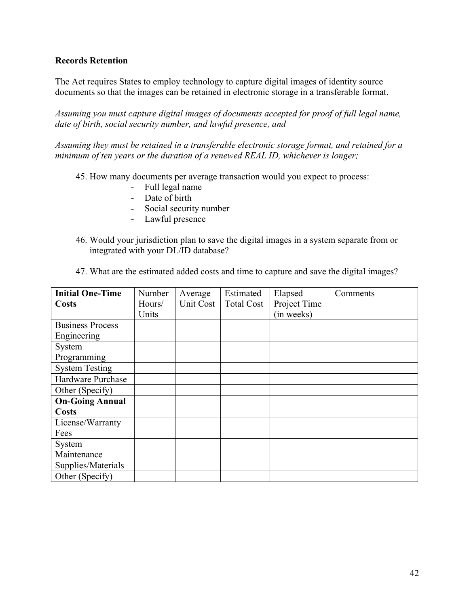## **Records Retention**

The Act requires States to employ technology to capture digital images of identity source documents so that the images can be retained in electronic storage in a transferable format.

*Assuming you must capture digital images of documents accepted for proof of full legal name, date of birth, social security number, and lawful presence, and* 

*Assuming they must be retained in a transferable electronic storage format, and retained for a minimum of ten years or the duration of a renewed REAL ID, whichever is longer;* 

45. How many documents per average transaction would you expect to process:

- Full legal name
- Date of birth
- Social security number
- Lawful presence
- 46. Would your jurisdiction plan to save the digital images in a system separate from or integrated with your DL/ID database?

| <b>Initial One-Time</b> | Number | Average   | Estimated         | Elapsed      | Comments |
|-------------------------|--------|-----------|-------------------|--------------|----------|
| <b>Costs</b>            | Hours/ | Unit Cost | <b>Total Cost</b> | Project Time |          |
|                         | Units  |           |                   | (in weeks)   |          |
| <b>Business Process</b> |        |           |                   |              |          |
| Engineering             |        |           |                   |              |          |
| System                  |        |           |                   |              |          |
| Programming             |        |           |                   |              |          |
| <b>System Testing</b>   |        |           |                   |              |          |
| Hardware Purchase       |        |           |                   |              |          |
| Other (Specify)         |        |           |                   |              |          |
| <b>On-Going Annual</b>  |        |           |                   |              |          |
| <b>Costs</b>            |        |           |                   |              |          |
| License/Warranty        |        |           |                   |              |          |
| Fees                    |        |           |                   |              |          |
| System                  |        |           |                   |              |          |
| Maintenance             |        |           |                   |              |          |
| Supplies/Materials      |        |           |                   |              |          |
| Other (Specify)         |        |           |                   |              |          |

47. What are the estimated added costs and time to capture and save the digital images?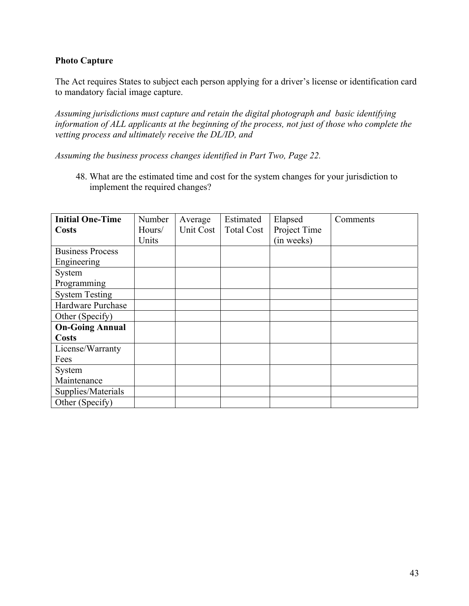# **Photo Capture**

The Act requires States to subject each person applying for a driver's license or identification card to mandatory facial image capture.

*Assuming jurisdictions must capture and retain the digital photograph and basic identifying information of ALL applicants at the beginning of the process, not just of those who complete the vetting process and ultimately receive the DL/ID, and* 

*Assuming the business process changes identified in Part Two, Page 22.* 

48. What are the estimated time and cost for the system changes for your jurisdiction to implement the required changes?

| <b>Initial One-Time</b> | Number | Average   | Estimated         | Elapsed      | Comments |
|-------------------------|--------|-----------|-------------------|--------------|----------|
| <b>Costs</b>            | Hours/ | Unit Cost | <b>Total Cost</b> | Project Time |          |
|                         | Units  |           |                   | (in weeks)   |          |
| <b>Business Process</b> |        |           |                   |              |          |
| Engineering             |        |           |                   |              |          |
| System                  |        |           |                   |              |          |
| Programming             |        |           |                   |              |          |
| <b>System Testing</b>   |        |           |                   |              |          |
| Hardware Purchase       |        |           |                   |              |          |
| Other (Specify)         |        |           |                   |              |          |
| <b>On-Going Annual</b>  |        |           |                   |              |          |
| <b>Costs</b>            |        |           |                   |              |          |
| License/Warranty        |        |           |                   |              |          |
| Fees                    |        |           |                   |              |          |
| System                  |        |           |                   |              |          |
| Maintenance             |        |           |                   |              |          |
| Supplies/Materials      |        |           |                   |              |          |
| Other (Specify)         |        |           |                   |              |          |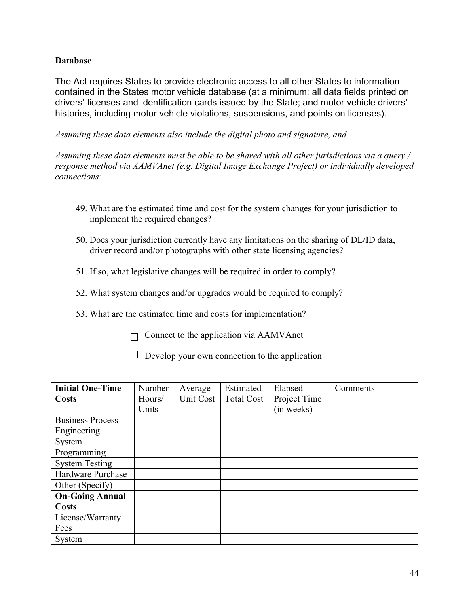# **Database**

The Act requires States to provide electronic access to all other States to information contained in the States motor vehicle database (at a minimum: all data fields printed on drivers' licenses and identification cards issued by the State; and motor vehicle drivers' histories, including motor vehicle violations, suspensions, and points on licenses).

*Assuming these data elements also include the digital photo and signature, and* 

*Assuming these data elements must be able to be shared with all other jurisdictions via a query / response method via AAMVAnet (e.g. Digital Image Exchange Project) or individually developed connections:* 

- 49. What are the estimated time and cost for the system changes for your jurisdiction to implement the required changes?
- 50. Does your jurisdiction currently have any limitations on the sharing of DL/ID data, driver record and/or photographs with other state licensing agencies?
- 51. If so, what legislative changes will be required in order to comply?
- 52. What system changes and/or upgrades would be required to comply?
- 53. What are the estimated time and costs for implementation?
	- $\Box$  Connect to the application via AAMVAnet
	- $\Box$  Develop your own connection to the application

| <b>Initial One-Time</b> | Number | Average   | Estimated         | Elapsed      | Comments |
|-------------------------|--------|-----------|-------------------|--------------|----------|
| <b>Costs</b>            | Hours/ | Unit Cost | <b>Total Cost</b> | Project Time |          |
|                         | Units  |           |                   | (in weeks)   |          |
| <b>Business Process</b> |        |           |                   |              |          |
| Engineering             |        |           |                   |              |          |
| System                  |        |           |                   |              |          |
| Programming             |        |           |                   |              |          |
| <b>System Testing</b>   |        |           |                   |              |          |
| Hardware Purchase       |        |           |                   |              |          |
| Other (Specify)         |        |           |                   |              |          |
| <b>On-Going Annual</b>  |        |           |                   |              |          |
| <b>Costs</b>            |        |           |                   |              |          |
| License/Warranty        |        |           |                   |              |          |
| Fees                    |        |           |                   |              |          |
| System                  |        |           |                   |              |          |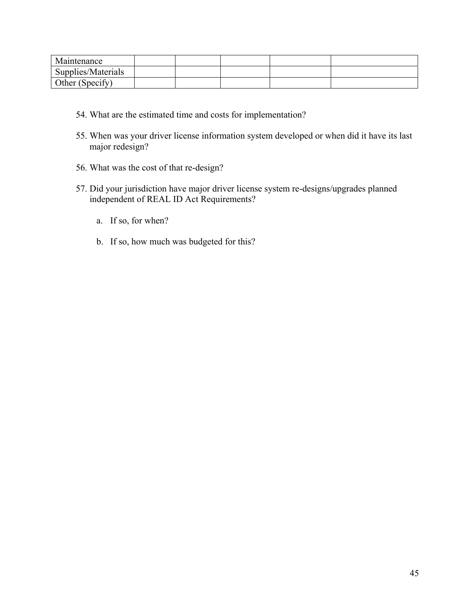| Maintenance        |  |  |  |
|--------------------|--|--|--|
| Supplies/Materials |  |  |  |
| Other (Specify)    |  |  |  |

- 54. What are the estimated time and costs for implementation?
- 55. When was your driver license information system developed or when did it have its last major redesign?
- 56. What was the cost of that re-design?
- 57. Did your jurisdiction have major driver license system re-designs/upgrades planned independent of REAL ID Act Requirements?
	- a. If so, for when?
	- b. If so, how much was budgeted for this?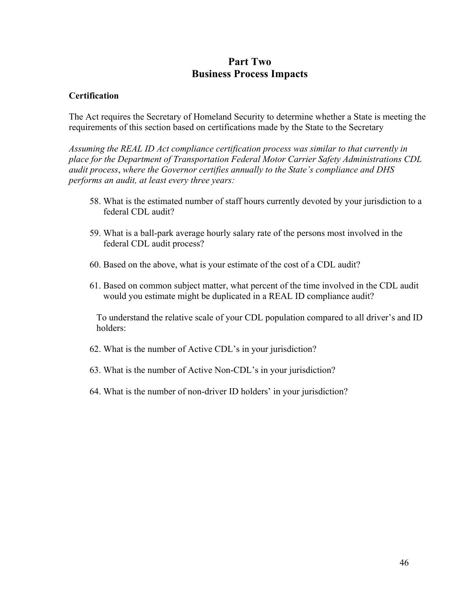# **Part Two Business Process Impacts**

#### **Certification**

The Act requires the Secretary of Homeland Security to determine whether a State is meeting the requirements of this section based on certifications made by the State to the Secretary

*Assuming the REAL ID Act compliance certification process was similar to that currently in place for the Department of Transportation Federal Motor Carrier Safety Administrations CDL audit process*, *where the Governor certifies annually to the State's compliance and DHS performs an audit, at least every three years:* 

- 58. What is the estimated number of staff hours currently devoted by your jurisdiction to a federal CDL audit?
- 59. What is a ball-park average hourly salary rate of the persons most involved in the federal CDL audit process?
- 60. Based on the above, what is your estimate of the cost of a CDL audit?
- 61. Based on common subject matter, what percent of the time involved in the CDL audit would you estimate might be duplicated in a REAL ID compliance audit?

To understand the relative scale of your CDL population compared to all driver's and ID holders:

- 62. What is the number of Active CDL's in your jurisdiction?
- 63. What is the number of Active Non-CDL's in your jurisdiction?
- 64. What is the number of non-driver ID holders' in your jurisdiction?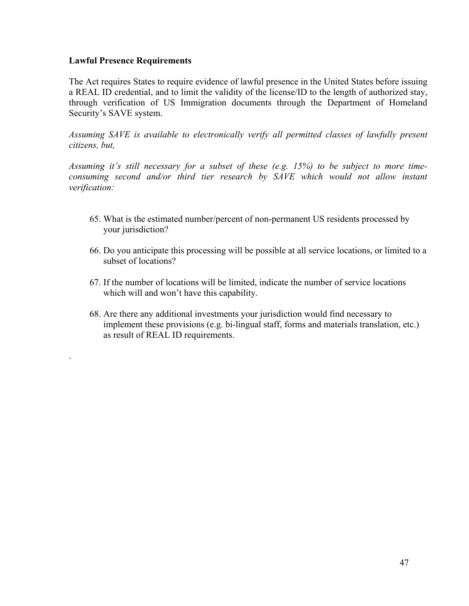#### **Lawful Presence Requirements**

.

The Act requires States to require evidence of lawful presence in the United States before issuing a REAL ID credential, and to limit the validity of the license/ID to the length of authorized stay, through verification of US Immigration documents through the Department of Homeland Security's SAVE system.

Assuming SAVE is available to electronically verify all permitted classes of lawfully present *citizens, but,* 

*Assuming it's still necessary for a subset of these (e.g. 15%) to be subject to more timeconsuming second and/or third tier research by SAVE which would not allow instant verification:* 

- 65. What is the estimated number/percent of non-permanent US residents processed by your jurisdiction?
- 66. Do you anticipate this processing will be possible at all service locations, or limited to a subset of locations?
- 67. If the number of locations will be limited, indicate the number of service locations which will and won't have this capability.
- 68. Are there any additional investments your jurisdiction would find necessary to implement these provisions (e.g. bi-lingual staff, forms and materials translation, etc.) as result of REAL ID requirements.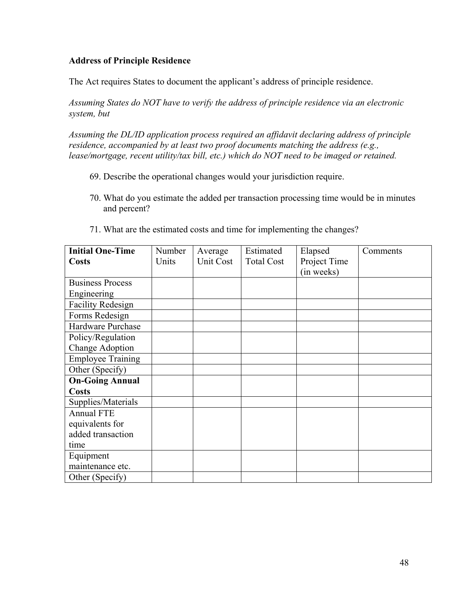## **Address of Principle Residence**

The Act requires States to document the applicant's address of principle residence.

*Assuming States do NOT have to verify the address of principle residence via an electronic system, but* 

*Assuming the DL/ID application process required an affidavit declaring address of principle residence, accompanied by at least two proof documents matching the address (e.g., lease/mortgage, recent utility/tax bill, etc.) which do NOT need to be imaged or retained.* 

- 69. Describe the operational changes would your jurisdiction require.
- 70. What do you estimate the added per transaction processing time would be in minutes and percent?
- 71. What are the estimated costs and time for implementing the changes?

| <b>Initial One-Time</b>  | Number | Average   | Estimated         | Elapsed      | Comments |
|--------------------------|--------|-----------|-------------------|--------------|----------|
| Costs                    | Units  | Unit Cost | <b>Total Cost</b> | Project Time |          |
|                          |        |           |                   | (in weeks)   |          |
| <b>Business Process</b>  |        |           |                   |              |          |
| Engineering              |        |           |                   |              |          |
| <b>Facility Redesign</b> |        |           |                   |              |          |
| Forms Redesign           |        |           |                   |              |          |
| Hardware Purchase        |        |           |                   |              |          |
| Policy/Regulation        |        |           |                   |              |          |
| Change Adoption          |        |           |                   |              |          |
| <b>Employee Training</b> |        |           |                   |              |          |
| Other (Specify)          |        |           |                   |              |          |
| <b>On-Going Annual</b>   |        |           |                   |              |          |
| <b>Costs</b>             |        |           |                   |              |          |
| Supplies/Materials       |        |           |                   |              |          |
| <b>Annual FTE</b>        |        |           |                   |              |          |
| equivalents for          |        |           |                   |              |          |
| added transaction        |        |           |                   |              |          |
| time                     |        |           |                   |              |          |
| Equipment                |        |           |                   |              |          |
| maintenance etc.         |        |           |                   |              |          |
| Other (Specify)          |        |           |                   |              |          |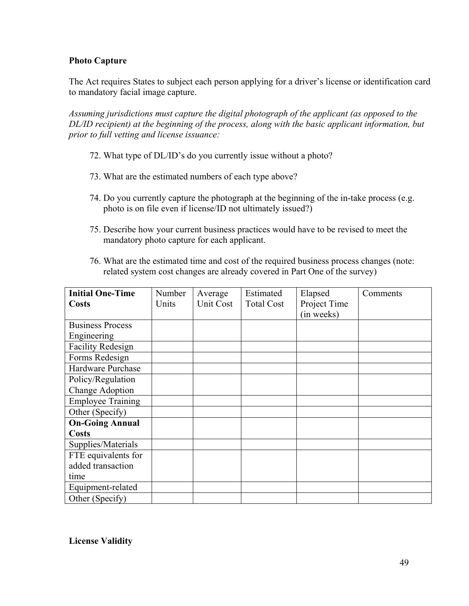# **Photo Capture**

The Act requires States to subject each person applying for a driver's license or identification card to mandatory facial image capture.

*Assuming jurisdictions must capture the digital photograph of the applicant (as opposed to the DL/ID recipient) at the beginning of the process, along with the basic applicant information, but prior to full vetting and license issuance:* 

- 72. What type of DL/ID's do you currently issue without a photo?
- 73. What are the estimated numbers of each type above?
- 74. Do you currently capture the photograph at the beginning of the in-take process (e.g. photo is on file even if license/ID not ultimately issued?)
- 75. Describe how your current business practices would have to be revised to meet the mandatory photo capture for each applicant.
- 76. What are the estimated time and cost of the required business process changes (note: related system cost changes are already covered in Part One of the survey)

| <b>Initial One-Time</b>  | Number | Average   | Estimated         | Elapsed      | Comments |
|--------------------------|--------|-----------|-------------------|--------------|----------|
| Costs                    | Units  | Unit Cost | <b>Total Cost</b> | Project Time |          |
|                          |        |           |                   | (in weeks)   |          |
| <b>Business Process</b>  |        |           |                   |              |          |
| Engineering              |        |           |                   |              |          |
| <b>Facility Redesign</b> |        |           |                   |              |          |
| Forms Redesign           |        |           |                   |              |          |
| Hardware Purchase        |        |           |                   |              |          |
| Policy/Regulation        |        |           |                   |              |          |
| Change Adoption          |        |           |                   |              |          |
| <b>Employee Training</b> |        |           |                   |              |          |
| Other (Specify)          |        |           |                   |              |          |
| <b>On-Going Annual</b>   |        |           |                   |              |          |
| <b>Costs</b>             |        |           |                   |              |          |
| Supplies/Materials       |        |           |                   |              |          |
| FTE equivalents for      |        |           |                   |              |          |
| added transaction        |        |           |                   |              |          |
| time                     |        |           |                   |              |          |
| Equipment-related        |        |           |                   |              |          |
| Other (Specify)          |        |           |                   |              |          |

**License Validity**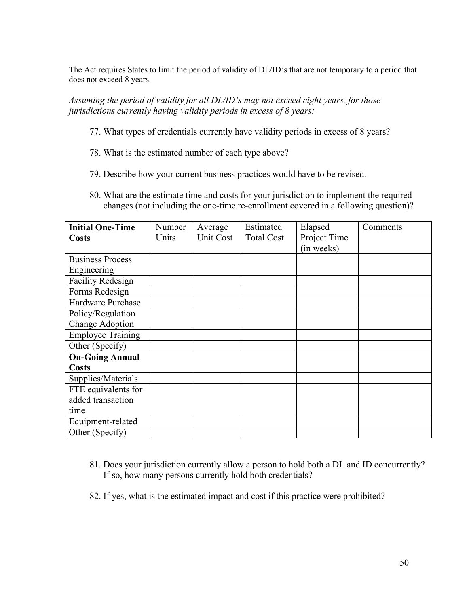The Act requires States to limit the period of validity of DL/ID's that are not temporary to a period that does not exceed 8 years.

*Assuming the period of validity for all DL/ID's may not exceed eight years, for those jurisdictions currently having validity periods in excess of 8 years:* 

- 77. What types of credentials currently have validity periods in excess of 8 years?
- 78. What is the estimated number of each type above?
- 79. Describe how your current business practices would have to be revised.
- 80. What are the estimate time and costs for your jurisdiction to implement the required changes (not including the one-time re-enrollment covered in a following question)?

| <b>Initial One-Time</b>  | Number | Average   | Estimated         | Elapsed      | Comments |
|--------------------------|--------|-----------|-------------------|--------------|----------|
| <b>Costs</b>             | Units  | Unit Cost | <b>Total Cost</b> | Project Time |          |
|                          |        |           |                   | (in weeks)   |          |
| <b>Business Process</b>  |        |           |                   |              |          |
| Engineering              |        |           |                   |              |          |
| <b>Facility Redesign</b> |        |           |                   |              |          |
| Forms Redesign           |        |           |                   |              |          |
| Hardware Purchase        |        |           |                   |              |          |
| Policy/Regulation        |        |           |                   |              |          |
| Change Adoption          |        |           |                   |              |          |
| <b>Employee Training</b> |        |           |                   |              |          |
| Other (Specify)          |        |           |                   |              |          |
| <b>On-Going Annual</b>   |        |           |                   |              |          |
| <b>Costs</b>             |        |           |                   |              |          |
| Supplies/Materials       |        |           |                   |              |          |
| FTE equivalents for      |        |           |                   |              |          |
| added transaction        |        |           |                   |              |          |
| time                     |        |           |                   |              |          |
| Equipment-related        |        |           |                   |              |          |
| Other (Specify)          |        |           |                   |              |          |

- 81. Does your jurisdiction currently allow a person to hold both a DL and ID concurrently? If so, how many persons currently hold both credentials?
- 82. If yes, what is the estimated impact and cost if this practice were prohibited?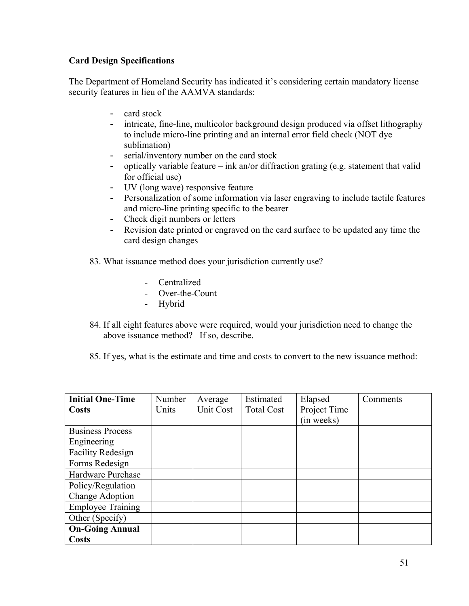# **Card Design Specifications**

The Department of Homeland Security has indicated it's considering certain mandatory license security features in lieu of the AAMVA standards:

- card stock
- intricate, fine-line, multicolor background design produced via offset lithography to include micro-line printing and an internal error field check (NOT dye sublimation)
- serial/inventory number on the card stock
- optically variable feature ink an/or diffraction grating (e.g. statement that valid for official use)
- UV (long wave) responsive feature
- Personalization of some information via laser engraving to include tactile features and micro-line printing specific to the bearer
- Check digit numbers or letters
- Revision date printed or engraved on the card surface to be updated any time the card design changes
- 83. What issuance method does your jurisdiction currently use?
	- Centralized
	- Over-the-Count
	- Hybrid
- 84. If all eight features above were required, would your jurisdiction need to change the above issuance method? If so, describe.
- 85. If yes, what is the estimate and time and costs to convert to the new issuance method:

| <b>Initial One-Time</b>  | Number | Average   | Estimated         | Elapsed      | Comments |
|--------------------------|--------|-----------|-------------------|--------------|----------|
| Costs                    | Units  | Unit Cost | <b>Total Cost</b> | Project Time |          |
|                          |        |           |                   | (in weeks)   |          |
| <b>Business Process</b>  |        |           |                   |              |          |
| Engineering              |        |           |                   |              |          |
| <b>Facility Redesign</b> |        |           |                   |              |          |
| Forms Redesign           |        |           |                   |              |          |
| Hardware Purchase        |        |           |                   |              |          |
| Policy/Regulation        |        |           |                   |              |          |
| Change Adoption          |        |           |                   |              |          |
| <b>Employee Training</b> |        |           |                   |              |          |
| Other (Specify)          |        |           |                   |              |          |
| <b>On-Going Annual</b>   |        |           |                   |              |          |
| <b>Costs</b>             |        |           |                   |              |          |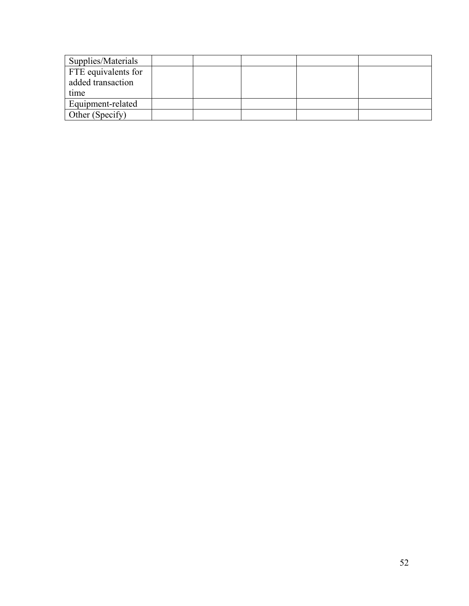| Supplies/Materials                               |  |  |  |
|--------------------------------------------------|--|--|--|
| FTE equivalents for<br>added transaction<br>time |  |  |  |
| Equipment-related                                |  |  |  |
| Other (Specify)                                  |  |  |  |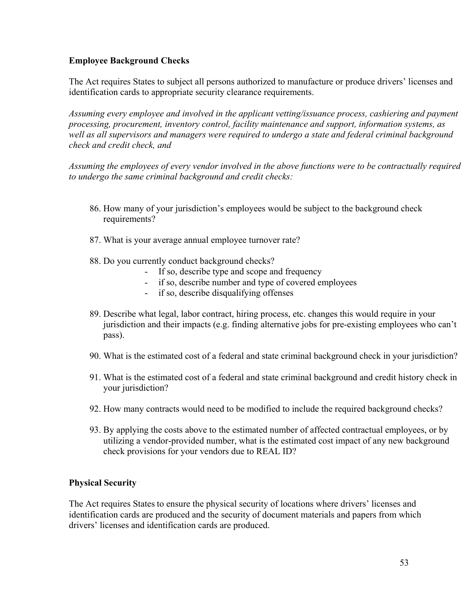## **Employee Background Checks**

The Act requires States to subject all persons authorized to manufacture or produce drivers' licenses and identification cards to appropriate security clearance requirements.

*Assuming every employee and involved in the applicant vetting/issuance process, cashiering and payment processing, procurement, inventory control, facility maintenance and support, information systems, as*  well as all supervisors and managers were required to undergo a state and federal criminal background *check and credit check, and* 

*Assuming the employees of every vendor involved in the above functions were to be contractually required to undergo the same criminal background and credit checks:* 

- 86. How many of your jurisdiction's employees would be subject to the background check requirements?
- 87. What is your average annual employee turnover rate?
- 88. Do you currently conduct background checks?
	- If so, describe type and scope and frequency
	- if so, describe number and type of covered employees
	- if so, describe disqualifying offenses
- 89. Describe what legal, labor contract, hiring process, etc. changes this would require in your jurisdiction and their impacts (e.g. finding alternative jobs for pre-existing employees who can't pass).
- 90. What is the estimated cost of a federal and state criminal background check in your jurisdiction?
- 91. What is the estimated cost of a federal and state criminal background and credit history check in your jurisdiction?
- 92. How many contracts would need to be modified to include the required background checks?
- 93. By applying the costs above to the estimated number of affected contractual employees, or by utilizing a vendor-provided number, what is the estimated cost impact of any new background check provisions for your vendors due to REAL ID?

#### **Physical Security**

The Act requires States to ensure the physical security of locations where drivers' licenses and identification cards are produced and the security of document materials and papers from which drivers' licenses and identification cards are produced.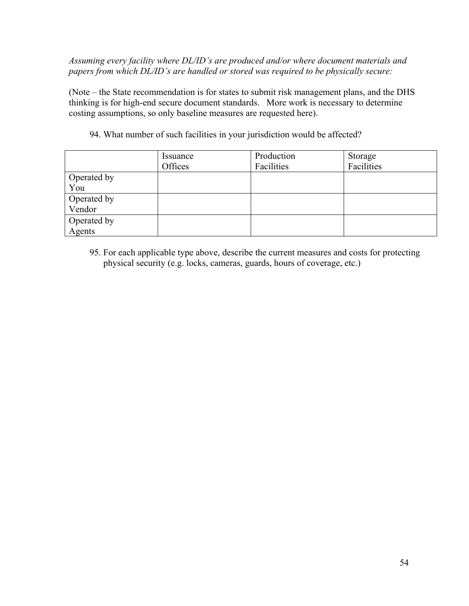*Assuming every facility where DL/ID's are produced and/or where document materials and papers from which DL/ID's are handled or stored was required to be physically secure:* 

(Note – the State recommendation is for states to submit risk management plans, and the DHS thinking is for high-end secure document standards. More work is necessary to determine costing assumptions, so only baseline measures are requested here).

|             | Issuance<br>Offices | Production<br>Facilities | Storage<br>Facilities |
|-------------|---------------------|--------------------------|-----------------------|
| Operated by |                     |                          |                       |
| You         |                     |                          |                       |
| Operated by |                     |                          |                       |
| Vendor      |                     |                          |                       |
| Operated by |                     |                          |                       |
| Agents      |                     |                          |                       |

94. What number of such facilities in your jurisdiction would be affected?

95. For each applicable type above, describe the current measures and costs for protecting physical security (e.g. locks, cameras, guards, hours of coverage, etc.)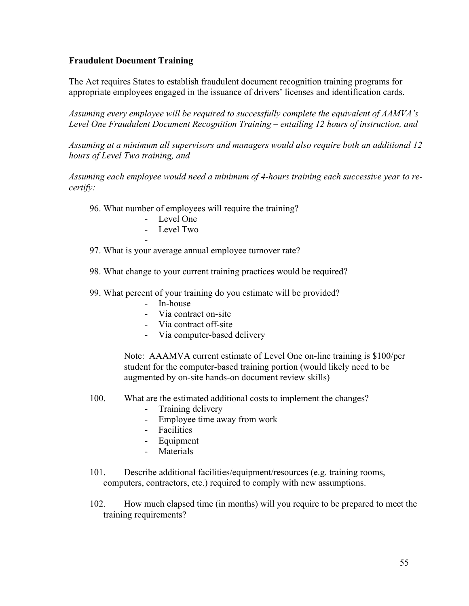## **Fraudulent Document Training**

The Act requires States to establish fraudulent document recognition training programs for appropriate employees engaged in the issuance of drivers' licenses and identification cards.

*Assuming every employee will be required to successfully complete the equivalent of AAMVA's Level One Fraudulent Document Recognition Training – entailing 12 hours of instruction, and* 

*Assuming at a minimum all supervisors and managers would also require both an additional 12 hours of Level Two training, and* 

*Assuming each employee would need a minimum of 4-hours training each successive year to recertify:* 

- 96. What number of employees will require the training?
	- Level One
	- Level Two

-

- 97. What is your average annual employee turnover rate?
- 98. What change to your current training practices would be required?
- 99. What percent of your training do you estimate will be provided?
	- In-house
	- Via contract on-site
	- Via contract off-site
	- Via computer-based delivery

Note: AAAMVA current estimate of Level One on-line training is \$100/per student for the computer-based training portion (would likely need to be augmented by on-site hands-on document review skills)

- 100. What are the estimated additional costs to implement the changes?
	- Training delivery
	- Employee time away from work
	- Facilities
	- Equipment
	- **Materials**
- 101. Describe additional facilities/equipment/resources (e.g. training rooms, computers, contractors, etc.) required to comply with new assumptions.
- 102. How much elapsed time (in months) will you require to be prepared to meet the training requirements?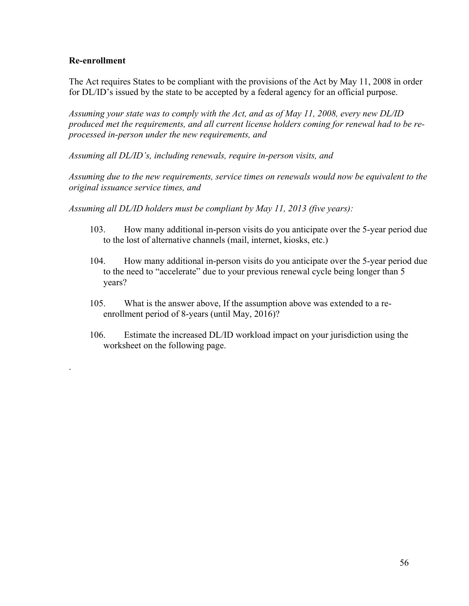## **Re-enrollment**

.

The Act requires States to be compliant with the provisions of the Act by May 11, 2008 in order for DL/ID's issued by the state to be accepted by a federal agency for an official purpose.

*Assuming your state was to comply with the Act, and as of May 11, 2008, every new DL/ID produced met the requirements, and all current license holders coming for renewal had to be reprocessed in-person under the new requirements, and* 

*Assuming all DL/ID's, including renewals, require in-person visits, and* 

*Assuming due to the new requirements, service times on renewals would now be equivalent to the original issuance service times, and* 

*Assuming all DL/ID holders must be compliant by May 11, 2013 (five years):* 

- 103. How many additional in-person visits do you anticipate over the 5-year period due to the lost of alternative channels (mail, internet, kiosks, etc.)
- 104. How many additional in-person visits do you anticipate over the 5-year period due to the need to "accelerate" due to your previous renewal cycle being longer than 5 years?
- 105. What is the answer above, If the assumption above was extended to a reenrollment period of 8-years (until May, 2016)?
- 106. Estimate the increased DL/ID workload impact on your jurisdiction using the worksheet on the following page.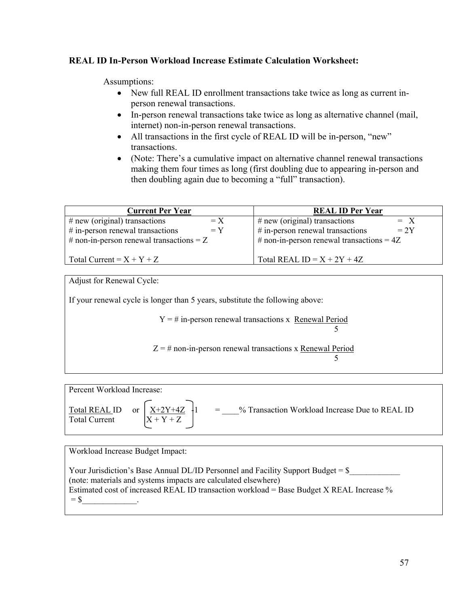## **REAL ID In-Person Workload Increase Estimate Calculation Worksheet:**

Assumptions:

- New full REAL ID enrollment transactions take twice as long as current inperson renewal transactions.
- In-person renewal transactions take twice as long as alternative channel (mail, internet) non-in-person renewal transactions.
- All transactions in the first cycle of REAL ID will be in-person, "new" transactions.
- (Note: There's a cumulative impact on alternative channel renewal transactions making them four times as long (first doubling due to appearing in-person and then doubling again due to becoming a "full" transaction).

| <b>Current Per Year</b>                     | <b>REAL ID Per Year</b>                      |  |  |
|---------------------------------------------|----------------------------------------------|--|--|
| $# new (original)$ transactions<br>$=X$     | $\#$ new (original) transactions<br>$= X$    |  |  |
| $#$ in-person renewal transactions<br>$= Y$ | $\#$ in-person renewal transactions<br>$=2Y$ |  |  |
| # non-in-person renewal transactions = $Z$  | # non-in-person renewal transactions = $4Z$  |  |  |
| Total Current = $X + Y + Z$                 | Total REAL ID = $X + 2Y + 4Z$                |  |  |

Adjust for Renewal Cycle:

If your renewal cycle is longer than 5 years, substitute the following above:

 $Y = #$  in-person renewal transactions x Renewal Period

5

 $Z = #$  non-in-person renewal transactions x Renewal Period 5

Percent Workload Increase:



Total REAL ID or  $X+2Y+4Z +1 = %$  Transaction Workload Increase Due to REAL ID

Workload Increase Budget Impact:

Your Jurisdiction's Base Annual DL/ID Personnel and Facility Support Budget = \$ (note: materials and systems impacts are calculated elsewhere) Estimated cost of increased REAL ID transaction workload = Base Budget X REAL Increase %  $=$  \$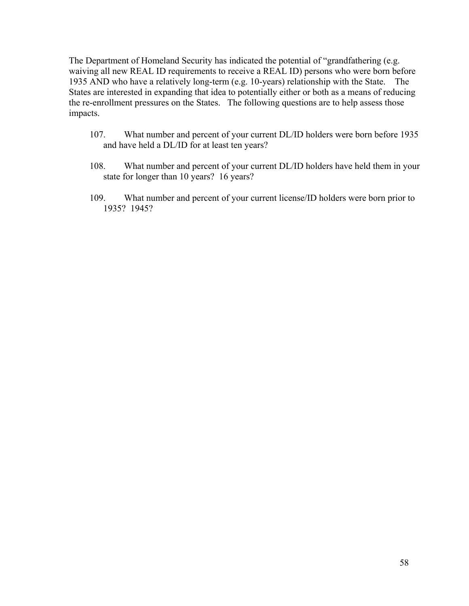The Department of Homeland Security has indicated the potential of "grandfathering (e.g. waiving all new REAL ID requirements to receive a REAL ID) persons who were born before 1935 AND who have a relatively long-term (e.g. 10-years) relationship with the State. The States are interested in expanding that idea to potentially either or both as a means of reducing the re-enrollment pressures on the States. The following questions are to help assess those impacts.

- 107. What number and percent of your current DL/ID holders were born before 1935 and have held a DL/ID for at least ten years?
- 108. What number and percent of your current DL/ID holders have held them in your state for longer than 10 years? 16 years?
- 109. What number and percent of your current license/ID holders were born prior to 1935? 1945?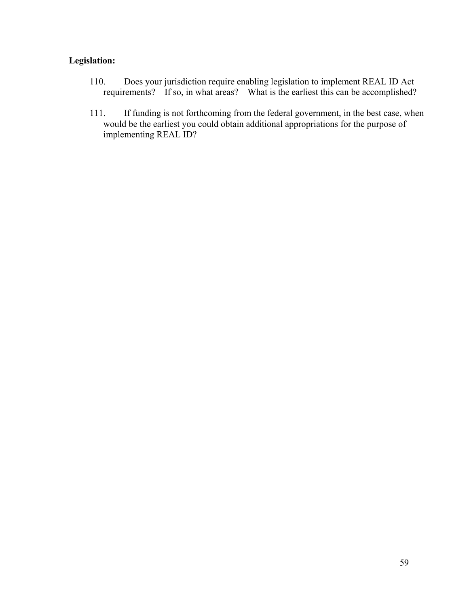# **Legislation:**

- 110. Does your jurisdiction require enabling legislation to implement REAL ID Act requirements? If so, in what areas? What is the earliest this can be accomplished?
- 111. If funding is not forthcoming from the federal government, in the best case, when would be the earliest you could obtain additional appropriations for the purpose of implementing REAL ID?